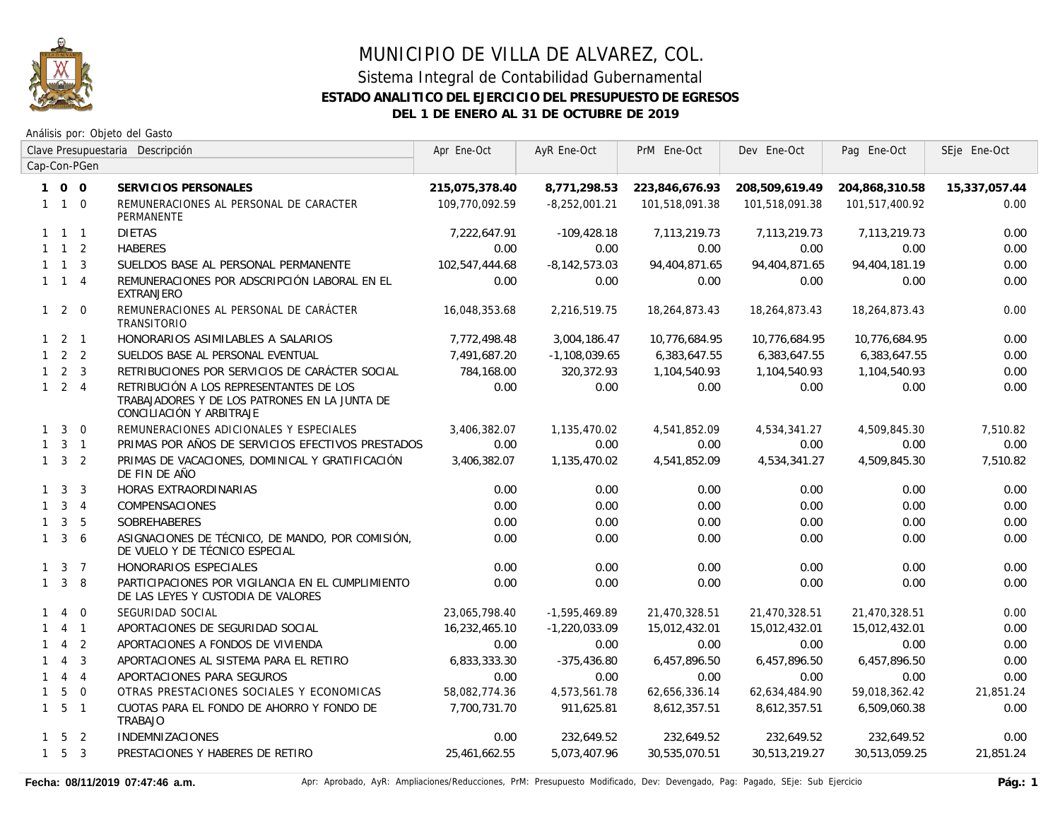

## MUNICIPIO DE VILLA DE ALVAREZ, COL. Sistema Integral de Contabilidad Gubernamental

## **ESTADO ANALITICO DEL EJERCICIO DEL PRESUPUESTO DE EGRESOS**

**DEL 1 DE ENERO AL 31 DE OCTUBRE DE 2019**

|              |                     |                | Clave Presupuestaria Descripción                                                                                     | Apr Ene-Oct    | AyR Ene-Oct       | PrM Ene-Oct    | Dev Ene-Oct    | Pag Ene-Oct    | SEje Ene-Oct  |
|--------------|---------------------|----------------|----------------------------------------------------------------------------------------------------------------------|----------------|-------------------|----------------|----------------|----------------|---------------|
|              |                     | Cap-Con-PGen   |                                                                                                                      |                |                   |                |                |                |               |
|              | 100                 |                | SERVICIOS PERSONALES                                                                                                 | 215,075,378.40 | 8,771,298.53      | 223,846,676.93 | 208,509,619.49 | 204,868,310.58 | 15,337,057.44 |
|              | $1\quad1\quad0$     |                | REMUNERACIONES AL PERSONAL DE CARACTER<br>PERMANENTE                                                                 | 109,770,092.59 | $-8,252,001.21$   | 101,518,091.38 | 101,518,091.38 | 101,517,400.92 | 0.00          |
|              | $1 \quad 1 \quad 1$ |                | <b>DIETAS</b>                                                                                                        | 7,222,647.91   | $-109,428.18$     | 7,113,219.73   | 7,113,219.73   | 7,113,219.73   | 0.00          |
|              | $1 \quad 1 \quad 2$ |                | <b>HABERES</b>                                                                                                       | 0.00           | 0.00              | 0.00           | 0.00           | 0.00           | 0.00          |
|              | $1 \quad 1 \quad 3$ |                | SUELDOS BASE AL PERSONAL PERMANENTE                                                                                  | 102,547,444.68 | $-8, 142, 573.03$ | 94,404,871.65  | 94,404,871.65  | 94,404,181.19  | 0.00          |
|              | $1 \quad 1 \quad 4$ |                | REMUNERACIONES POR ADSCRIPCIÓN LABORAL EN EL<br><b>EXTRANJERO</b>                                                    | 0.00           | 0.00              | 0.00           | 0.00           | 0.00           | 0.00          |
|              | $1 \quad 2 \quad 0$ |                | REMUNERACIONES AL PERSONAL DE CARÁCTER<br><b>TRANSITORIO</b>                                                         | 16,048,353.68  | 2,216,519.75      | 18,264,873.43  | 18,264,873.43  | 18,264,873.43  | 0.00          |
|              | $1 \quad 2 \quad 1$ |                | HONORARIOS ASIMILABLES A SALARIOS                                                                                    | 7,772,498.48   | 3,004,186.47      | 10,776,684.95  | 10,776,684.95  | 10,776,684.95  | 0.00          |
|              | $1\quad 2\quad 2$   |                | SUELDOS BASE AL PERSONAL EVENTUAL                                                                                    | 7.491.687.20   | $-1,108,039.65$   | 6,383,647.55   | 6,383,647.55   | 6,383,647.55   | 0.00          |
|              | $1 \quad 2 \quad 3$ |                | RETRIBUCIONES POR SERVICIOS DE CARÁCTER SOCIAL                                                                       | 784,168.00     | 320,372.93        | 1,104,540.93   | 1,104,540.93   | 1,104,540.93   | 0.00          |
|              | $1 \quad 2 \quad 4$ |                | RETRIBUCIÓN A LOS REPRESENTANTES DE LOS<br>TRABAJADORES Y DE LOS PATRONES EN LA JUNTA DE<br>CONCILIACIÓN Y ARBITRAJE | 0.00           | 0.00              | 0.00           | 0.00           | 0.00           | 0.00          |
|              | $1 \quad 3$         | $\Omega$       | REMUNERACIONES ADICIONALES Y ESPECIALES                                                                              | 3,406,382.07   | 1,135,470.02      | 4,541,852.09   | 4,534,341.27   | 4,509,845.30   | 7,510.82      |
|              | $1 \quad 3 \quad 1$ |                | PRIMAS POR AÑOS DE SERVICIOS EFECTIVOS PRESTADOS                                                                     | 0.00           | 0.00              | 0.00           | 0.00           | 0.00           | 0.00          |
|              | $1 \quad 3 \quad 2$ |                | PRIMAS DE VACACIONES, DOMINICAL Y GRATIFICACIÓN<br>DE FIN DE AÑO                                                     | 3,406,382.07   | 1,135,470.02      | 4,541,852.09   | 4,534,341.27   | 4,509,845.30   | 7,510.82      |
|              | $1 \quad 3 \quad 3$ |                | HORAS EXTRAORDINARIAS                                                                                                | 0.00           | 0.00              | 0.00           | 0.00           | 0.00           | 0.00          |
|              | $1 \quad 3 \quad 4$ |                | <b>COMPENSACIONES</b>                                                                                                | 0.00           | 0.00              | 0.00           | 0.00           | 0.00           | 0.00          |
|              | $1 \quad 3 \quad 5$ |                | <b>SOBREHABERES</b>                                                                                                  | 0.00           | 0.00              | 0.00           | 0.00           | 0.00           | 0.00          |
| $\mathbf{1}$ |                     | 3 <sub>6</sub> | ASIGNACIONES DE TÉCNICO, DE MANDO, POR COMISIÓN,<br>DE VUELO Y DE TÉCNICO ESPECIAL                                   | 0.00           | 0.00              | 0.00           | 0.00           | 0.00           | 0.00          |
|              | $1 \quad 3 \quad 7$ |                | HONORARIOS ESPECIALES                                                                                                | 0.00           | 0.00              | 0.00           | 0.00           | 0.00           | 0.00          |
|              | $1 \quad 3 \quad 8$ |                | PARTICIPACIONES POR VIGILANCIA EN EL CUMPLIMIENTO<br>DE LAS LEYES Y CUSTODIA DE VALORES                              | 0.00           | 0.00              | 0.00           | 0.00           | 0.00           | 0.00          |
| 1            | $\overline{4}$      | $\overline{0}$ | SEGURIDAD SOCIAL                                                                                                     | 23,065,798.40  | $-1,595,469.89$   | 21,470,328.51  | 21,470,328.51  | 21,470,328.51  | 0.00          |
| 1            |                     | $4 \quad 1$    | APORTACIONES DE SEGURIDAD SOCIAL                                                                                     | 16,232,465.10  | $-1,220,033.09$   | 15,012,432.01  | 15,012,432.01  | 15,012,432.01  | 0.00          |
|              | $\overline{4}$      | $\overline{2}$ | APORTACIONES A FONDOS DE VIVIENDA                                                                                    | 0.00           | 0.00              | 0.00           | 0.00           | 0.00           | 0.00          |
|              | $1 \quad 4$         | $\overline{3}$ | APORTACIONES AL SISTEMA PARA EL RETIRO                                                                               | 6,833,333.30   | $-375,436.80$     | 6,457,896.50   | 6,457,896.50   | 6,457,896.50   | 0.00          |
|              | $1 \quad 4 \quad 4$ |                | APORTACIONES PARA SEGUROS                                                                                            | 0.00           | 0.00              | 0.00           | 0.00           | 0.00           | 0.00          |
| $\mathbf{1}$ | 5                   | $\overline{0}$ | OTRAS PRESTACIONES SOCIALES Y ECONOMICAS                                                                             | 58,082,774.36  | 4,573,561.78      | 62,656,336.14  | 62,634,484.90  | 59,018,362.42  | 21,851.24     |
|              | $1\quad 5\quad 1$   |                | CUOTAS PARA EL FONDO DE AHORRO Y FONDO DE<br>TRABAJO                                                                 | 7,700,731.70   | 911,625.81        | 8,612,357.51   | 8,612,357.51   | 6,509,060.38   | 0.00          |
|              | $1\quad 5\quad 2$   |                | <b>INDEMNIZACIONES</b>                                                                                               | 0.00           | 232,649.52        | 232,649.52     | 232,649.52     | 232,649.52     | 0.00          |
|              | $1\quad 5\quad 3$   |                | PRESTACIONES Y HABERES DE RETIRO                                                                                     | 25,461,662.55  | 5,073,407.96      | 30,535,070.51  | 30,513,219.27  | 30,513,059.25  | 21,851.24     |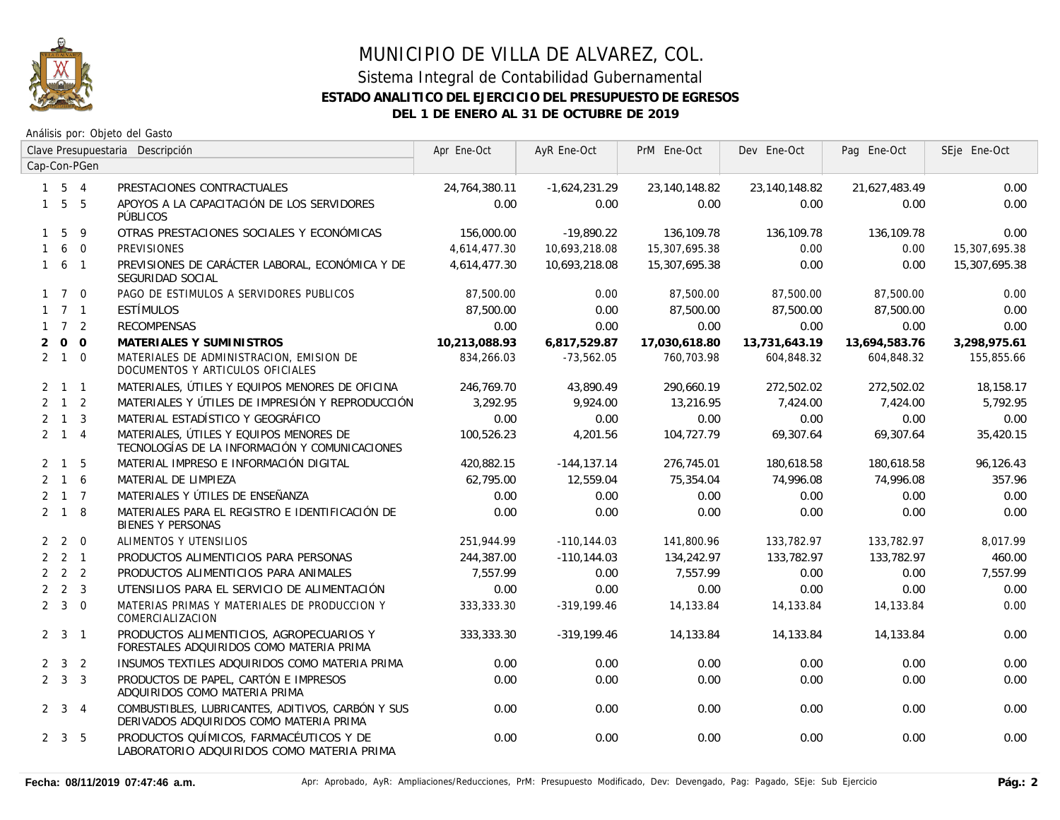

### Sistema Integral de Contabilidad Gubernamental **ESTADO ANALITICO DEL EJERCICIO DEL PRESUPUESTO DE EGRESOS DEL 1 DE ENERO AL 31 DE OCTUBRE DE 2019**

|              |                     |              | Clave Presupuestaria Descripción                                                             | Apr Ene-Oct   | AyR Ene-Oct     | PrM Ene-Oct   | Dev Ene-Oct   | Pag Ene-Oct   | SEje Ene-Oct  |
|--------------|---------------------|--------------|----------------------------------------------------------------------------------------------|---------------|-----------------|---------------|---------------|---------------|---------------|
|              |                     | Cap-Con-PGen |                                                                                              |               |                 |               |               |               |               |
|              | $1 \quad 5 \quad 4$ |              | PRESTACIONES CONTRACTUALES                                                                   | 24,764,380.11 | $-1,624,231.29$ | 23,140,148.82 | 23,140,148.82 | 21,627,483.49 | 0.00          |
|              | $1\quad 5\quad 5$   |              | APOYOS A LA CAPACITACIÓN DE LOS SERVIDORES<br>PÚBLICOS                                       | 0.00          | 0.00            | 0.00          | 0.00          | 0.00          | 0.00          |
|              | 1 5                 | - 9          | OTRAS PRESTACIONES SOCIALES Y ECONÓMICAS                                                     | 156,000.00    | $-19,890.22$    | 136,109.78    | 136,109.78    | 136,109.78    | 0.00          |
| $\mathbf{1}$ |                     | 6 0          | <b>PREVISIONES</b>                                                                           | 4,614,477.30  | 10,693,218.08   | 15,307,695.38 | 0.00          | 0.00          | 15,307,695.38 |
|              | $1\quad 6\quad 1$   |              | PREVISIONES DE CARÁCTER LABORAL, ECONÓMICA Y DE<br>SEGURIDAD SOCIAL                          | 4,614,477.30  | 10,693,218.08   | 15,307,695.38 | 0.00          | 0.00          | 15,307,695.38 |
|              | $1 \quad 7 \quad 0$ |              | PAGO DE ESTIMULOS A SERVIDORES PUBLICOS                                                      | 87,500.00     | 0.00            | 87,500.00     | 87,500.00     | 87,500.00     | 0.00          |
|              | $1 \quad 7 \quad 1$ |              | <b>ESTÍMULOS</b>                                                                             | 87,500.00     | 0.00            | 87,500.00     | 87,500.00     | 87,500.00     | 0.00          |
|              | $1 \quad 7 \quad 2$ |              | <b>RECOMPENSAS</b>                                                                           | 0.00          | 0.00            | 0.00          | 0.00          | 0.00          | 0.00          |
| 2            |                     | $0\quad 0$   | MATERIALES Y SUMINISTROS                                                                     | 10,213,088.93 | 6,817,529.87    | 17,030,618.80 | 13,731,643.19 | 13,694,583.76 | 3,298,975.61  |
|              | $2 \quad 1 \quad 0$ |              | MATERIALES DE ADMINISTRACION, EMISION DE<br>DOCUMENTOS Y ARTICULOS OFICIALES                 | 834,266.03    | $-73,562.05$    | 760,703.98    | 604,848.32    | 604,848.32    | 155,855.66    |
|              | $2 \quad 1 \quad 1$ |              | MATERIALES, ÚTILES Y EQUIPOS MENORES DE OFICINA                                              | 246,769.70    | 43,890.49       | 290,660.19    | 272,502.02    | 272,502.02    | 18,158.17     |
|              | $2 \quad 1 \quad 2$ |              | MATERIALES Y ÚTILES DE IMPRESIÓN Y REPRODUCCIÓN                                              | 3,292.95      | 9,924.00        | 13,216.95     | 7,424.00      | 7,424.00      | 5,792.95      |
|              | $2 \quad 1 \quad 3$ |              | MATERIAL ESTADÍSTICO Y GEOGRÁFICO                                                            | 0.00          | 0.00            | 0.00          | 0.00          | 0.00          | 0.00          |
|              | $2 \quad 1 \quad 4$ |              | MATERIALES, ÚTILES Y EQUIPOS MENORES DE<br>TECNOLOGÍAS DE LA INFORMACIÓN Y COMUNICACIONES    | 100.526.23    | 4.201.56        | 104,727.79    | 69,307.64     | 69,307.64     | 35,420.15     |
|              | $2 \quad 1 \quad 5$ |              | MATERIAL IMPRESO E INFORMACIÓN DIGITAL                                                       | 420,882.15    | $-144, 137.14$  | 276,745.01    | 180,618.58    | 180,618.58    | 96,126.43     |
|              | $2 \t1 \t6$         |              | MATERIAL DE LIMPIEZA                                                                         | 62,795.00     | 12,559.04       | 75,354.04     | 74,996.08     | 74,996.08     | 357.96        |
|              | $2 \t1 \t7$         |              | MATERIALES Y ÚTILES DE ENSEÑANZA                                                             | 0.00          | 0.00            | 0.00          | 0.00          | 0.00          | 0.00          |
|              | $2 \quad 1 \quad 8$ |              | MATERIALES PARA EL REGISTRO E IDENTIFICACIÓN DE<br><b>BIENES Y PERSONAS</b>                  | 0.00          | 0.00            | 0.00          | 0.00          | 0.00          | 0.00          |
|              | $2\quad 2\quad 0$   |              | ALIMENTOS Y UTENSILIOS                                                                       | 251.944.99    | $-110, 144.03$  | 141,800.96    | 133,782.97    | 133,782.97    | 8,017.99      |
|              | $2 \quad 2 \quad 1$ |              | PRODUCTOS ALIMENTICIOS PARA PERSONAS                                                         | 244,387.00    | $-110.144.03$   | 134,242.97    | 133,782.97    | 133,782.97    | 460.00        |
|              | $2 \quad 2 \quad 2$ |              | PRODUCTOS ALIMENTICIOS PARA ANIMALES                                                         | 7.557.99      | 0.00            | 7,557.99      | 0.00          | 0.00          | 7,557.99      |
|              | $2 \quad 2 \quad 3$ |              | UTENSILIOS PARA EL SERVICIO DE ALIMENTACIÓN                                                  | 0.00          | 0.00            | 0.00          | 0.00          | 0.00          | 0.00          |
|              | $2 \quad 3 \quad 0$ |              | MATERIAS PRIMAS Y MATERIALES DE PRODUCCION Y<br>COMERCIALIZACION                             | 333,333.30    | $-319,199.46$   | 14,133.84     | 14,133.84     | 14,133.84     | 0.00          |
|              | $2 \quad 3 \quad 1$ |              | PRODUCTOS ALIMENTICIOS, AGROPECUARIOS Y<br>FORESTALES ADQUIRIDOS COMO MATERIA PRIMA          | 333,333.30    | $-319,199.46$   | 14,133.84     | 14,133.84     | 14,133.84     | 0.00          |
|              | $2 \quad 3 \quad 2$ |              | INSUMOS TEXTILES ADQUIRIDOS COMO MATERIA PRIMA                                               | 0.00          | 0.00            | 0.00          | 0.00          | 0.00          | 0.00          |
|              | $2 \quad 3 \quad 3$ |              | PRODUCTOS DE PAPEL, CARTÓN E IMPRESOS<br>ADQUIRIDOS COMO MATERIA PRIMA                       | 0.00          | 0.00            | 0.00          | 0.00          | 0.00          | 0.00          |
|              | $2 \quad 3 \quad 4$ |              | COMBUSTIBLES, LUBRICANTES, ADITIVOS, CARBÓN Y SUS<br>DERIVADOS ADQUIRIDOS COMO MATERIA PRIMA | 0.00          | 0.00            | 0.00          | 0.00          | 0.00          | 0.00          |
|              | $2 \quad 3 \quad 5$ |              | PRODUCTOS QUÍMICOS, FARMACÉUTICOS Y DE<br>LABORATORIO ADQUIRIDOS COMO MATERIA PRIMA          | 0.00          | 0.00            | 0.00          | 0.00          | 0.00          | 0.00          |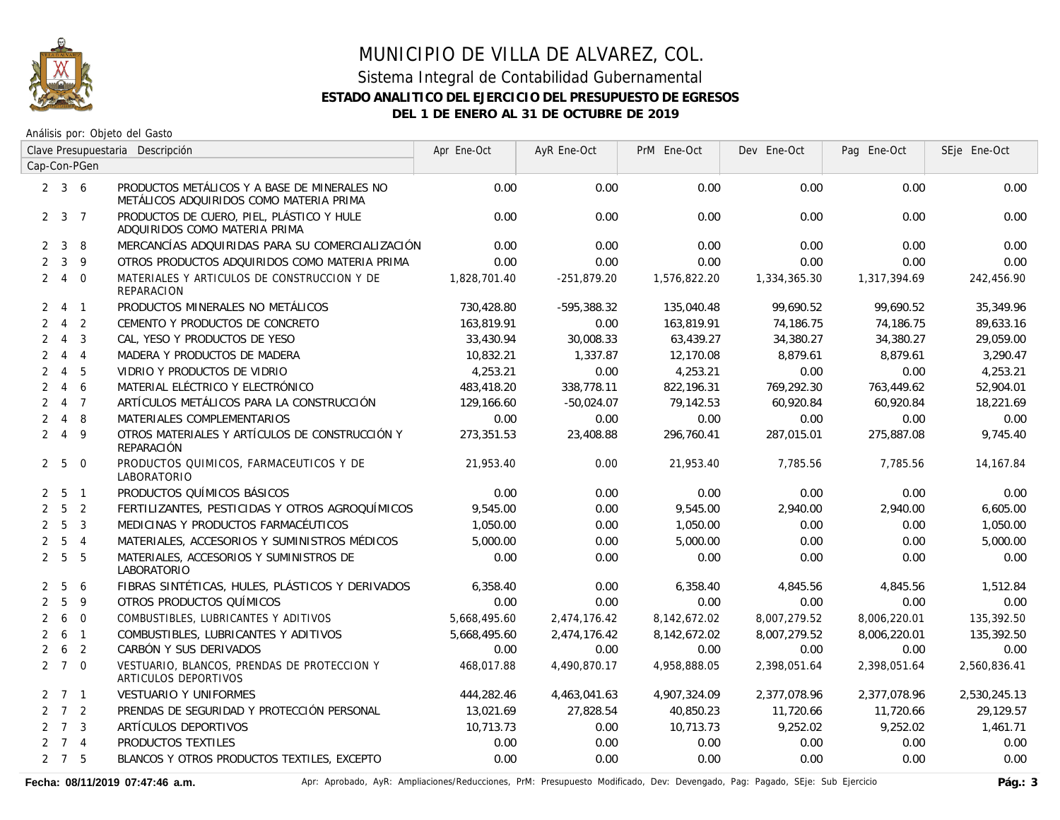

Análisis por: Objeto del Gasto

|                | Clave Presupuestaria Descripción |                          |                                                                                         | Apr Ene-Oct  | AyR Ene-Oct   | PrM Ene-Oct  | Dev Ene-Oct  | Pag Ene-Oct  | SEje Ene-Oct |
|----------------|----------------------------------|--------------------------|-----------------------------------------------------------------------------------------|--------------|---------------|--------------|--------------|--------------|--------------|
|                |                                  | Cap-Con-PGen             |                                                                                         |              |               |              |              |              |              |
|                | $2 \quad 3 \quad 6$              |                          | PRODUCTOS METÁLICOS Y A BASE DE MINERALES NO<br>METÁLICOS ADQUIRIDOS COMO MATERIA PRIMA | 0.00         | 0.00          | 0.00         | 0.00         | 0.00         | 0.00         |
|                | $2 \quad 3 \quad 7$              |                          | PRODUCTOS DE CUERO, PIEL, PLÁSTICO Y HULE<br>ADQUIRIDOS COMO MATERIA PRIMA              | 0.00         | 0.00          | 0.00         | 0.00         | 0.00         | 0.00         |
| $\mathbf{2}$   | $\mathbf{3}$                     | 8                        | MERCANCÍAS ADQUIRIDAS PARA SU COMERCIALIZACIÓN                                          | 0.00         | 0.00          | 0.00         | 0.00         | 0.00         | 0.00         |
| $\overline{2}$ |                                  | $3 \quad 9$              | OTROS PRODUCTOS ADQUIRIDOS COMO MATERIA PRIMA                                           | 0.00         | 0.00          | 0.00         | 0.00         | 0.00         | 0.00         |
|                | $2 \quad 4$                      | $\overline{0}$           | MATERIALES Y ARTICULOS DE CONSTRUCCION Y DE<br><b>REPARACION</b>                        | 1,828,701.40 | $-251,879.20$ | 1,576,822.20 | 1,334,365.30 | 1,317,394.69 | 242,456.90   |
|                | 2 4 1                            |                          | PRODUCTOS MINERALES NO METÁLICOS                                                        | 730,428.80   | -595,388.32   | 135,040.48   | 99,690.52    | 99,690.52    | 35,349.96    |
| $\overline{2}$ | $\overline{4}$                   | $\overline{2}$           | CEMENTO Y PRODUCTOS DE CONCRETO                                                         | 163,819.91   | 0.00          | 163,819.91   | 74,186.75    | 74,186.75    | 89,633.16    |
| $\overline{2}$ | $\overline{4}$                   | $\overline{3}$           | CAL, YESO Y PRODUCTOS DE YESO                                                           | 33,430.94    | 30,008.33     | 63,439.27    | 34,380.27    | 34,380.27    | 29,059.00    |
| $\overline{2}$ | $\overline{4}$                   | $\overline{4}$           | MADERA Y PRODUCTOS DE MADERA                                                            | 10,832.21    | 1,337.87      | 12,170.08    | 8,879.61     | 8,879.61     | 3,290.47     |
| $\overline{2}$ | $\overline{4}$                   | 5                        | VIDRIO Y PRODUCTOS DE VIDRIO                                                            | 4.253.21     | 0.00          | 4,253.21     | 0.00         | 0.00         | 4,253.21     |
| $\overline{2}$ | $\overline{4}$                   | 6                        | MATERIAL ELÉCTRICO Y ELECTRÓNICO                                                        | 483,418.20   | 338,778.11    | 822,196.31   | 769,292.30   | 763,449.62   | 52,904.01    |
| $\overline{2}$ | $\overline{4}$                   | $\overline{7}$           | ARTÍCULOS METÁLICOS PARA LA CONSTRUCCIÓN                                                | 129,166.60   | $-50,024.07$  | 79,142.53    | 60,920.84    | 60,920.84    | 18,221.69    |
| $\overline{2}$ | $\overline{4}$                   | -8                       | MATERIALES COMPLEMENTARIOS                                                              | 0.00         | 0.00          | 0.00         | 0.00         | 0.00         | 0.00         |
| $\overline{2}$ | $\overline{4}$                   | 9                        | OTROS MATERIALES Y ARTÍCULOS DE CONSTRUCCIÓN Y<br>REPARACIÓN                            | 273,351.53   | 23,408.88     | 296,760.41   | 287,015.01   | 275,887.08   | 9,745.40     |
|                | 2 <sub>5</sub>                   | $\overline{0}$           | PRODUCTOS QUIMICOS, FARMACEUTICOS Y DE<br>LABORATORIO                                   | 21,953.40    | 0.00          | 21,953.40    | 7,785.56     | 7,785.56     | 14,167.84    |
| 2              | 5 1                              |                          | PRODUCTOS QUÍMICOS BÁSICOS                                                              | 0.00         | 0.00          | 0.00         | 0.00         | 0.00         | 0.00         |
| $\overline{2}$ | $5\overline{)}$                  | $\overline{2}$           | FERTILIZANTES, PESTICIDAS Y OTROS AGROQUÍMICOS                                          | 9,545.00     | 0.00          | 9,545.00     | 2,940.00     | 2,940.00     | 6,605.00     |
| $\overline{2}$ | 5                                | $\overline{3}$           | MEDICINAS Y PRODUCTOS FARMACÉUTICOS                                                     | 1,050.00     | 0.00          | 1,050.00     | 0.00         | 0.00         | 1,050.00     |
| $\overline{2}$ | $5\overline{)}$                  | $\overline{4}$           | MATERIALES, ACCESORIOS Y SUMINISTROS MÉDICOS                                            | 5,000.00     | 0.00          | 5,000.00     | 0.00         | 0.00         | 5,000.00     |
|                | 2 <sub>5</sub>                   | 5                        | MATERIALES, ACCESORIOS Y SUMINISTROS DE<br>LABORATORIO                                  | 0.00         | 0.00          | 0.00         | 0.00         | 0.00         | 0.00         |
| $\mathbf{2}$   | 5                                | 6                        | FIBRAS SINTÉTICAS, HULES, PLÁSTICOS Y DERIVADOS                                         | 6,358.40     | 0.00          | 6,358.40     | 4,845.56     | 4,845.56     | 1,512.84     |
| $\overline{2}$ | 5                                | 9                        | OTROS PRODUCTOS QUÍMICOS                                                                | 0.00         | 0.00          | 0.00         | 0.00         | 0.00         | 0.00         |
| $\overline{2}$ | 6                                | $\Omega$                 | COMBUSTIBLES, LUBRICANTES Y ADITIVOS                                                    | 5,668,495.60 | 2,474,176.42  | 8,142,672.02 | 8,007,279.52 | 8,006,220.01 | 135,392.50   |
| $\overline{2}$ | 6                                | $\overline{1}$           | COMBUSTIBLES, LUBRICANTES Y ADITIVOS                                                    | 5,668,495.60 | 2,474,176.42  | 8,142,672.02 | 8,007,279.52 | 8,006,220.01 | 135,392.50   |
| $\overline{2}$ | 6                                | $\overline{\phantom{0}}$ | CARBÓN Y SUS DERIVADOS                                                                  | 0.00         | 0.00          | 0.00         | 0.00         | 0.00         | 0.00         |
|                | $2 \quad 7 \quad 0$              |                          | VESTUARIO, BLANCOS, PRENDAS DE PROTECCION Y<br>ARTICULOS DEPORTIVOS                     | 468.017.88   | 4,490,870.17  | 4,958,888.05 | 2,398,051.64 | 2,398,051.64 | 2,560,836.41 |
|                | $2 \quad 7 \quad 1$              |                          | VESTUARIO Y UNIFORMES                                                                   | 444,282.46   | 4,463,041.63  | 4,907,324.09 | 2,377,078.96 | 2,377,078.96 | 2,530,245.13 |
|                | $2 \quad 7 \quad 2$              |                          | PRENDAS DE SEGURIDAD Y PROTECCIÓN PERSONAL                                              | 13,021.69    | 27,828.54     | 40,850.23    | 11,720.66    | 11,720.66    | 29,129.57    |
|                | $2 \quad 7 \quad 3$              |                          | ARTÍCULOS DEPORTIVOS                                                                    | 10,713.73    | 0.00          | 10,713.73    | 9,252.02     | 9,252.02     | 1,461.71     |
|                | $2 \quad 7 \quad 4$              |                          | PRODUCTOS TEXTILES                                                                      | 0.00         | 0.00          | 0.00         | 0.00         | 0.00         | 0.00         |
|                | $2 \quad 7 \quad 5$              |                          | BLANCOS Y OTROS PRODUCTOS TEXTILES, EXCEPTO                                             | 0.00         | 0.00          | 0.00         | 0.00         | 0.00         | 0.00         |

Fecha: 08/11/2019 07:47:46 a.m. <br>
Pág.: 3<br />
Apr: Aprobado, AyR: Ampliaciones/Reducciones, PrM: Presupuesto Modificado, Dev: Devengado, Pag: Pagado, SEje: Sub Ejercicio **Pág.: 3**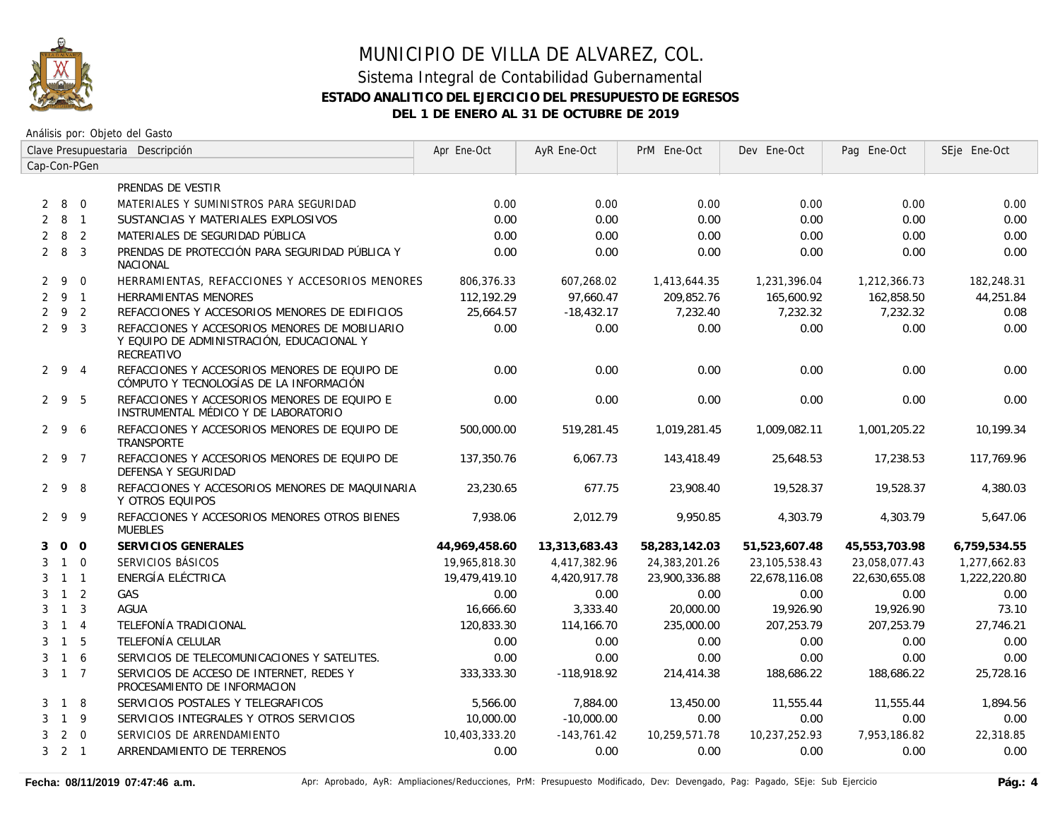

|                | Clave Presupuestaria Descripción |                | Apr Ene-Oct                                                                                               | AyR Ene-Oct   | PrM Ene-Oct   | Dev Ene-Oct   | Pag Ene-Oct     | SEje Ene-Oct  |              |
|----------------|----------------------------------|----------------|-----------------------------------------------------------------------------------------------------------|---------------|---------------|---------------|-----------------|---------------|--------------|
|                |                                  | Cap-Con-PGen   |                                                                                                           |               |               |               |                 |               |              |
|                |                                  |                | PRENDAS DE VESTIR                                                                                         |               |               |               |                 |               |              |
| $\overline{2}$ | 8 0                              |                | MATERIALES Y SUMINISTROS PARA SEGURIDAD                                                                   | 0.00          | 0.00          | 0.00          | 0.00            | 0.00          | 0.00         |
| 2              | 8 1                              |                | SUSTANCIAS Y MATERIALES EXPLOSIVOS                                                                        | 0.00          | 0.00          | 0.00          | 0.00            | 0.00          | 0.00         |
| 2              | 8                                | 2              | MATERIALES DE SEGURIDAD PÚBLICA                                                                           | 0.00          | 0.00          | 0.00          | 0.00            | 0.00          | 0.00         |
|                | 283                              |                | PRENDAS DE PROTECCIÓN PARA SEGURIDAD PÚBLICA Y<br><b>NACIONAL</b>                                         | 0.00          | 0.00          | 0.00          | 0.00            | 0.00          | 0.00         |
|                | $2 \overline{9}$                 | $\overline{0}$ | HERRAMIENTAS, REFACCIONES Y ACCESORIOS MENORES                                                            | 806,376.33    | 607,268.02    | 1,413,644.35  | 1,231,396.04    | 1,212,366.73  | 182,248.31   |
|                | 291                              |                | <b>HERRAMIENTAS MENORES</b>                                                                               | 112,192.29    | 97.660.47     | 209,852.76    | 165,600.92      | 162,858.50    | 44,251.84    |
|                | 292                              |                | REFACCIONES Y ACCESORIOS MENORES DE EDIFICIOS                                                             | 25,664.57     | $-18,432.17$  | 7,232.40      | 7,232.32        | 7,232.32      | 0.08         |
|                | $2 \t9 \t3$                      |                | REFACCIONES Y ACCESORIOS MENORES DE MOBILIARIO<br>Y EQUIPO DE ADMINISTRACIÓN, EDUCACIONAL Y<br>RECREATIVO | 0.00          | 0.00          | 0.00          | 0.00            | 0.00          | 0.00         |
|                | $2 \t 9 \t 4$                    |                | REFACCIONES Y ACCESORIOS MENORES DE EQUIPO DE<br>CÓMPUTO Y TECNOLOGÍAS DE LA INFORMACIÓN                  | 0.00          | 0.00          | 0.00          | 0.00            | 0.00          | 0.00         |
|                | 295                              |                | REFACCIONES Y ACCESORIOS MENORES DE EQUIPO E<br>INSTRUMENTAL MÉDICO Y DE LABORATORIO                      | 0.00          | 0.00          | 0.00          | 0.00            | 0.00          | 0.00         |
|                | 296                              |                | REFACCIONES Y ACCESORIOS MENORES DE EQUIPO DE<br>TRANSPORTE                                               | 500,000.00    | 519,281.45    | 1,019,281.45  | 1,009,082.11    | 1,001,205.22  | 10.199.34    |
|                | 2 9 7                            |                | REFACCIONES Y ACCESORIOS MENORES DE EQUIPO DE<br>DEFENSA Y SEGURIDAD                                      | 137,350.76    | 6,067.73      | 143,418.49    | 25,648.53       | 17,238.53     | 117,769.96   |
|                | 298                              |                | REFACCIONES Y ACCESORIOS MENORES DE MAQUINARIA<br>Y OTROS EQUIPOS                                         | 23.230.65     | 677.75        | 23,908.40     | 19,528.37       | 19,528.37     | 4,380.03     |
|                | 299                              |                | REFACCIONES Y ACCESORIOS MENORES OTROS BIENES<br><b>MUEBLES</b>                                           | 7,938.06      | 2,012.79      | 9,950.85      | 4,303.79        | 4,303.79      | 5,647.06     |
| 3              |                                  | 0 <sub>0</sub> | SERVICIOS GENERALES                                                                                       | 44,969,458.60 | 13,313,683.43 | 58,283,142.03 | 51,523,607.48   | 45,553,703.98 | 6,759,534.55 |
| 3              | $1\quad 0$                       |                | SERVICIOS BÁSICOS                                                                                         | 19,965,818.30 | 4,417,382.96  | 24,383,201.26 | 23, 105, 538.43 | 23,058,077.43 | 1,277,662.83 |
| 3              | $1 \quad 1$                      |                | ENERGÍA ELÉCTRICA                                                                                         | 19,479,419.10 | 4,420,917.78  | 23,900,336.88 | 22,678,116.08   | 22,630,655.08 | 1,222,220.80 |
| 3              | $1\quad 2$                       |                | GAS                                                                                                       | 0.00          | 0.00          | 0.00          | 0.00            | 0.00          | 0.00         |
| 3              | $\overline{1}$                   | $\overline{3}$ | <b>AGUA</b>                                                                                               | 16,666.60     | 3,333.40      | 20,000.00     | 19,926.90       | 19,926.90     | 73.10        |
| 3              | $1 \quad 4$                      |                | TELEFONÍA TRADICIONAL                                                                                     | 120,833.30    | 114,166.70    | 235,000.00    | 207.253.79      | 207.253.79    | 27,746.21    |
| 3              | $\overline{1}$                   | -5             | TELEFONÍA CELULAR                                                                                         | 0.00          | 0.00          | 0.00          | 0.00            | 0.00          | 0.00         |
| 3              | $1\quad6$                        |                | SERVICIOS DE TELECOMUNICACIONES Y SATELITES.                                                              | 0.00          | 0.00          | 0.00          | 0.00            | 0.00          | 0.00         |
|                | $3 \quad 1 \quad 7$              |                | SERVICIOS DE ACCESO DE INTERNET, REDES Y<br>PROCESAMIENTO DE INFORMACION                                  | 333,333.30    | -118,918.92   | 214,414.38    | 188,686.22      | 188,686.22    | 25,728.16    |
| 3              | $1 \quad 8$                      |                | SERVICIOS POSTALES Y TELEGRAFICOS                                                                         | 5,566.00      | 7,884.00      | 13,450.00     | 11,555.44       | 11,555.44     | 1,894.56     |
| 3              | $1 \quad 9$                      |                | SERVICIOS INTEGRALES Y OTROS SERVICIOS                                                                    | 10,000.00     | $-10,000.00$  | 0.00          | 0.00            | 0.00          | 0.00         |
| 3              |                                  | $2 \quad 0$    | SERVICIOS DE ARRENDAMIENTO                                                                                | 10,403,333.20 | $-143,761.42$ | 10,259,571.78 | 10,237,252.93   | 7,953,186.82  | 22,318.85    |
|                | $3 \quad 2 \quad 1$              |                | ARRENDAMIENTO DE TERRENOS                                                                                 | 0.00          | 0.00          | 0.00          | 0.00            | 0.00          | 0.00         |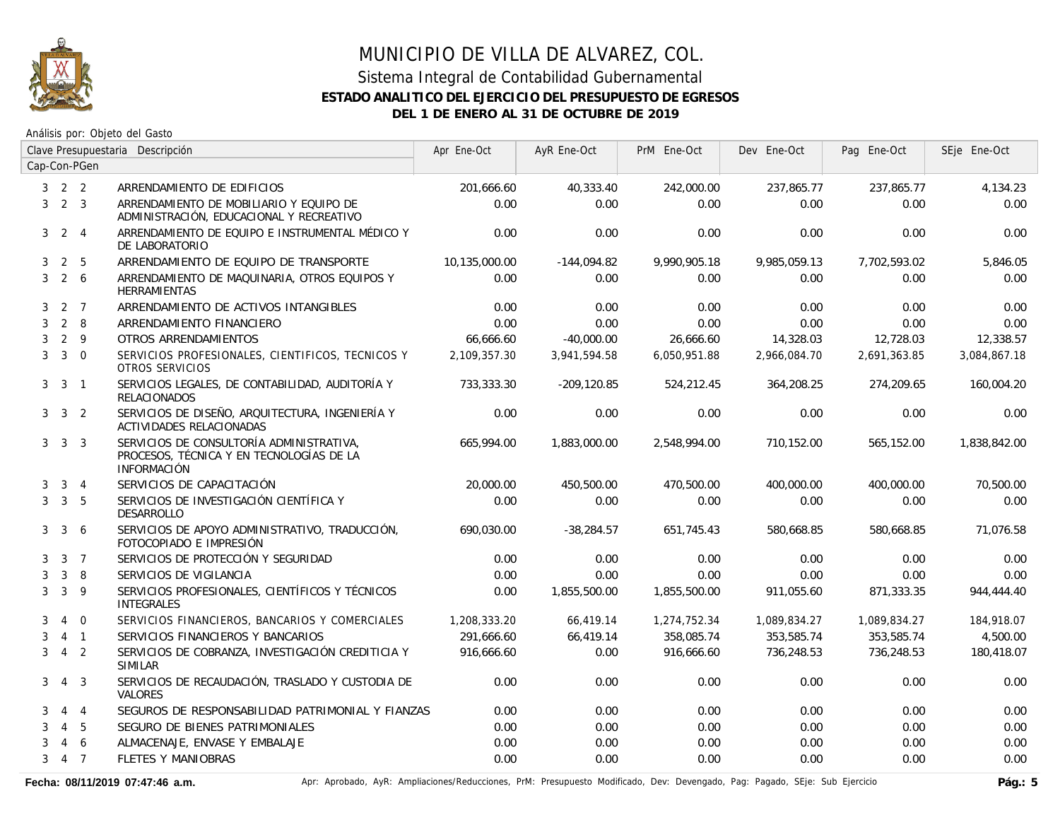

### Sistema Integral de Contabilidad Gubernamental **ESTADO ANALITICO DEL EJERCICIO DEL PRESUPUESTO DE EGRESOS DEL 1 DE ENERO AL 31 DE OCTUBRE DE 2019**

Análisis por: Objeto del Gasto

|   |                     |                | Clave Presupuestaria Descripción                                                                           | Apr Ene-Oct   | AyR Ene-Oct   | PrM Ene-Oct  | Dev Ene-Oct  | Pag Ene-Oct  | SEje Ene-Oct |
|---|---------------------|----------------|------------------------------------------------------------------------------------------------------------|---------------|---------------|--------------|--------------|--------------|--------------|
|   |                     | Cap-Con-PGen   |                                                                                                            |               |               |              |              |              |              |
|   | $3 \quad 2 \quad 2$ |                | ARRENDAMIENTO DE EDIFICIOS                                                                                 | 201,666.60    | 40,333.40     | 242,000.00   | 237,865.77   | 237,865.77   | 4,134.23     |
| 3 | 2 <sup>3</sup>      |                | ARRENDAMIENTO DE MOBILIARIO Y EQUIPO DE<br>ADMINISTRACIÓN, EDUCACIONAL Y RECREATIVO                        | 0.00          | 0.00          | 0.00         | 0.00         | 0.00         | 0.00         |
| 3 |                     | $2 \quad 4$    | ARRENDAMIENTO DE EQUIPO E INSTRUMENTAL MÉDICO Y<br>DE LABORATORIO                                          | 0.00          | 0.00          | 0.00         | 0.00         | 0.00         | 0.00         |
| 3 | 2                   | 5              | ARRENDAMIENTO DE EQUIPO DE TRANSPORTE                                                                      | 10,135,000.00 | $-144,094.82$ | 9,990,905.18 | 9,985,059.13 | 7,702,593.02 | 5,846.05     |
| 3 | $2\overline{6}$     |                | ARRENDAMIENTO DE MAQUINARIA, OTROS EQUIPOS Y<br><b>HERRAMIENTAS</b>                                        | 0.00          | 0.00          | 0.00         | 0.00         | 0.00         | 0.00         |
| 3 | 2 7                 |                | ARRENDAMIENTO DE ACTIVOS INTANGIBLES                                                                       | 0.00          | 0.00          | 0.00         | 0.00         | 0.00         | 0.00         |
| 3 |                     | $2 \quad 8$    | ARRENDAMIENTO FINANCIERO                                                                                   | 0.00          | 0.00          | 0.00         | 0.00         | 0.00         | 0.00         |
| 3 | $2 \quad 9$         |                | OTROS ARRENDAMIENTOS                                                                                       | 66,666.60     | $-40,000.00$  | 26,666.60    | 14,328.03    | 12,728.03    | 12,338.57    |
| 3 |                     | $3 \quad 0$    | SERVICIOS PROFESIONALES, CIENTIFICOS, TECNICOS Y<br>OTROS SERVICIOS                                        | 2,109,357.30  | 3,941,594.58  | 6,050,951.88 | 2,966,084.70 | 2,691,363.85 | 3,084,867.18 |
| 3 | $\mathbf{3}$        | $\overline{1}$ | SERVICIOS LEGALES, DE CONTABILIDAD, AUDITORÍA Y<br><b>RELACIONADOS</b>                                     | 733,333,30    | -209,120.85   | 524,212.45   | 364,208.25   | 274.209.65   | 160,004.20   |
|   | $3 \quad 3 \quad 2$ |                | SERVICIOS DE DISEÑO, ARQUITECTURA, INGENIERÍA Y<br>ACTIVIDADES RELACIONADAS                                | 0.00          | 0.00          | 0.00         | 0.00         | 0.00         | 0.00         |
|   | $3 \quad 3 \quad 3$ |                | SERVICIOS DE CONSULTORÍA ADMINISTRATIVA,<br>PROCESOS, TÉCNICA Y EN TECNOLOGÍAS DE LA<br><b>INFORMACIÓN</b> | 665.994.00    | 1.883.000.00  | 2,548,994.00 | 710,152.00   | 565,152.00   | 1,838,842.00 |
| 3 |                     | $3 \quad 4$    | SERVICIOS DE CAPACITACIÓN                                                                                  | 20,000.00     | 450,500.00    | 470,500.00   | 400,000.00   | 400,000.00   | 70,500.00    |
| 3 | 3 <sub>5</sub>      |                | SERVICIOS DE INVESTIGACIÓN CIENTÍFICA Y<br><b>DESARROLLO</b>                                               | 0.00          | 0.00          | 0.00         | 0.00         | 0.00         | 0.00         |
| 3 | $\mathbf{3}$        | 6              | SERVICIOS DE APOYO ADMINISTRATIVO, TRADUCCIÓN,<br>FOTOCOPIADO E IMPRESIÓN                                  | 690,030.00    | $-38,284.57$  | 651,745.43   | 580,668.85   | 580,668.85   | 71,076.58    |
| 3 |                     | 3 <sub>7</sub> | SERVICIOS DE PROTECCIÓN Y SEGURIDAD                                                                        | 0.00          | 0.00          | 0.00         | 0.00         | 0.00         | 0.00         |
| 3 | 3                   | 8              | SERVICIOS DE VIGILANCIA                                                                                    | 0.00          | 0.00          | 0.00         | 0.00         | 0.00         | 0.00         |
| 3 | 3                   | 9              | SERVICIOS PROFESIONALES, CIENTÍFICOS Y TÉCNICOS<br><b>INTEGRALES</b>                                       | 0.00          | 1,855,500.00  | 1,855,500.00 | 911,055.60   | 871,333.35   | 944,444.40   |
| 3 | $\overline{4}$      | $\overline{0}$ | SERVICIOS FINANCIEROS, BANCARIOS Y COMERCIALES                                                             | 1,208,333.20  | 66,419.14     | 1,274,752.34 | 1,089,834.27 | 1,089,834.27 | 184,918.07   |
| 3 |                     | $4 \quad 1$    | SERVICIOS FINANCIEROS Y BANCARIOS                                                                          | 291,666.60    | 66,419.14     | 358,085.74   | 353,585.74   | 353,585.74   | 4,500.00     |
| 3 | $\overline{4}$      | $\overline{2}$ | SERVICIOS DE COBRANZA, INVESTIGACIÓN CREDITICIA Y<br><b>SIMILAR</b>                                        | 916,666.60    | 0.00          | 916,666.60   | 736,248.53   | 736,248.53   | 180,418.07   |
| 3 |                     | 4 3            | SERVICIOS DE RECAUDACIÓN, TRASLADO Y CUSTODIA DE<br><b>VALORES</b>                                         | 0.00          | 0.00          | 0.00         | 0.00         | 0.00         | 0.00         |
| 3 |                     | $4\quad 4$     | SEGUROS DE RESPONSABILIDAD PATRIMONIAL Y FIANZAS                                                           | 0.00          | 0.00          | 0.00         | 0.00         | 0.00         | 0.00         |
| 3 | $\overline{4}$      | 5              | SEGURO DE BIENES PATRIMONIALES                                                                             | 0.00          | 0.00          | 0.00         | 0.00         | 0.00         | 0.00         |
| 3 | 4                   | 6              | ALMACENAJE, ENVASE Y EMBALAJE                                                                              | 0.00          | 0.00          | 0.00         | 0.00         | 0.00         | 0.00         |
| 3 | 4 7                 |                | FLETES Y MANIOBRAS                                                                                         | 0.00          | 0.00          | 0.00         | 0.00         | 0.00         | 0.00         |

Fecha: 08/11/2019 07:47:46 a.m. <br>Pág.: 5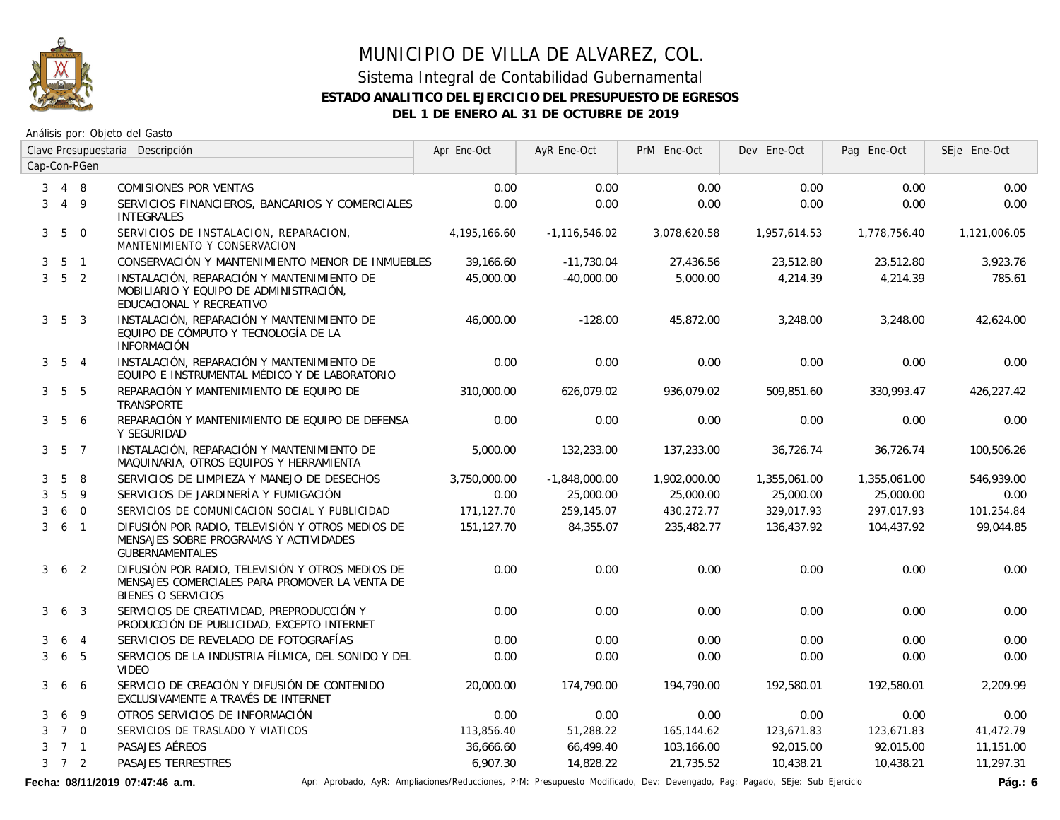

### Sistema Integral de Contabilidad Gubernamental **ESTADO ANALITICO DEL EJERCICIO DEL PRESUPUESTO DE EGRESOS DEL 1 DE ENERO AL 31 DE OCTUBRE DE 2019**

Análisis por: Objeto del Gasto

|   | Clave Presupuestaria Descripción |                | Apr Ene-Oct                                                                                                              | AyR Ene-Oct  | PrM Ene-Oct     | Dev Ene-Oct  | Pag Ene-Oct  | SEje Ene-Oct |              |
|---|----------------------------------|----------------|--------------------------------------------------------------------------------------------------------------------------|--------------|-----------------|--------------|--------------|--------------|--------------|
|   |                                  | Cap-Con-PGen   |                                                                                                                          |              |                 |              |              |              |              |
| 3 | 4 8                              |                | COMISIONES POR VENTAS                                                                                                    | 0.00         | 0.00            | 0.00         | 0.00         | 0.00         | 0.00         |
| 3 | $4\overline{9}$                  |                | SERVICIOS FINANCIEROS, BANCARIOS Y COMERCIALES<br><b>INTEGRALES</b>                                                      | 0.00         | 0.00            | 0.00         | 0.00         | 0.00         | 0.00         |
|   | $3\quad 5\quad 0$                |                | SERVICIOS DE INSTALACION, REPARACION,<br>MANTENIMIENTO Y CONSERVACION                                                    | 4,195,166.60 | $-1,116,546.02$ | 3,078,620.58 | 1,957,614.53 | 1,778,756.40 | 1,121,006.05 |
| 3 | 5 <sub>1</sub>                   |                | CONSERVACIÓN Y MANTENIMIENTO MENOR DE INMUEBLES                                                                          | 39,166.60    | $-11,730.04$    | 27,436.56    | 23,512.80    | 23,512.80    | 3,923.76     |
|   | $3\quad 5\quad 2$                |                | INSTALACIÓN, REPARACIÓN Y MANTENIMIENTO DE<br>MOBILIARIO Y EQUIPO DE ADMINISTRACIÓN,<br>EDUCACIONAL Y RECREATIVO         | 45,000.00    | $-40.000.00$    | 5,000.00     | 4,214.39     | 4,214.39     | 785.61       |
|   | $3\quad 5\quad 3$                |                | INSTALACIÓN, REPARACIÓN Y MANTENIMIENTO DE<br>EQUIPO DE CÓMPUTO Y TECNOLOGÍA DE LA<br><b>INFORMACIÓN</b>                 | 46,000.00    | $-128.00$       | 45,872.00    | 3,248.00     | 3,248.00     | 42,624.00    |
|   | $3\quad 5\quad 4$                |                | INSTALACIÓN, REPARACIÓN Y MANTENIMIENTO DE<br>EQUIPO E INSTRUMENTAL MÉDICO Y DE LABORATORIO                              | 0.00         | 0.00            | 0.00         | 0.00         | 0.00         | 0.00         |
|   | $3\quad 5\quad 5$                |                | REPARACIÓN Y MANTENIMIENTO DE EQUIPO DE<br>TRANSPORTE                                                                    | 310,000.00   | 626.079.02      | 936.079.02   | 509.851.60   | 330.993.47   | 426.227.42   |
|   | $3\quad 5\quad 6$                |                | REPARACIÓN Y MANTENIMIENTO DE EQUIPO DE DEFENSA<br>Y SEGURIDAD                                                           | 0.00         | 0.00            | 0.00         | 0.00         | 0.00         | 0.00         |
|   | $3\quad 5\quad 7$                |                | INSTALACIÓN, REPARACIÓN Y MANTENIMIENTO DE<br>MAQUINARIA, OTROS EQUIPOS Y HERRAMIENTA                                    | 5,000.00     | 132,233.00      | 137,233.00   | 36,726.74    | 36,726.74    | 100,506.26   |
| 3 | 5                                | -8             | SERVICIOS DE LIMPIEZA Y MANEJO DE DESECHOS                                                                               | 3,750,000.00 | $-1,848,000.00$ | 1,902,000.00 | 1,355,061.00 | 1,355,061.00 | 546,939.00   |
| 3 | $5\phantom{.}$                   | 9              | SERVICIOS DE JARDINERÍA Y FUMIGACIÓN                                                                                     | 0.00         | 25,000.00       | 25,000.00    | 25,000.00    | 25,000.00    | 0.00         |
| 3 |                                  | 6 0            | SERVICIOS DE COMUNICACION SOCIAL Y PUBLICIDAD                                                                            | 171,127.70   | 259,145.07      | 430,272.77   | 329.017.93   | 297,017.93   | 101,254.84   |
| 3 | $6-1$                            |                | DIFUSIÓN POR RADIO, TELEVISIÓN Y OTROS MEDIOS DE<br>MENSAJES SOBRE PROGRAMAS Y ACTIVIDADES<br><b>GUBERNAMENTALES</b>     | 151,127.70   | 84,355.07       | 235,482.77   | 136,437.92   | 104,437.92   | 99,044.85    |
| 3 |                                  | 6 <sub>2</sub> | DIFUSIÓN POR RADIO, TELEVISIÓN Y OTROS MEDIOS DE<br>MENSAJES COMERCIALES PARA PROMOVER LA VENTA DE<br>BIENES O SERVICIOS | 0.00         | 0.00            | 0.00         | 0.00         | 0.00         | 0.00         |
| 3 | 6 <sup>3</sup>                   |                | SERVICIOS DE CREATIVIDAD, PREPRODUCCIÓN Y<br>PRODUCCIÓN DE PUBLICIDAD, EXCEPTO INTERNET                                  | 0.00         | 0.00            | 0.00         | 0.00         | 0.00         | 0.00         |
| 3 | 6                                | $\overline{4}$ | SERVICIOS DE REVELADO DE FOTOGRAFÍAS                                                                                     | 0.00         | 0.00            | 0.00         | 0.00         | 0.00         | 0.00         |
| 3 | 6                                | - 5            | SERVICIOS DE LA INDUSTRIA FÍLMICA, DEL SONIDO Y DEL<br>VIDEO                                                             | 0.00         | 0.00            | 0.00         | 0.00         | 0.00         | 0.00         |
| 3 |                                  | 6 6            | SERVICIO DE CREACIÓN Y DIFUSIÓN DE CONTENIDO<br>EXCLUSIVAMENTE A TRAVÉS DE INTERNET                                      | 20,000.00    | 174,790.00      | 194,790.00   | 192,580.01   | 192,580.01   | 2,209.99     |
| 3 | 6                                | 9              | OTROS SERVICIOS DE INFORMACIÓN                                                                                           | 0.00         | 0.00            | 0.00         | 0.00         | 0.00         | 0.00         |
| 3 | 7 0                              |                | SERVICIOS DE TRASLADO Y VIATICOS                                                                                         | 113,856.40   | 51,288.22       | 165,144.62   | 123,671.83   | 123,671.83   | 41,472.79    |
| 3 | 7 1                              |                | PASAJES AÉREOS                                                                                                           | 36,666.60    | 66,499.40       | 103,166.00   | 92,015.00    | 92,015.00    | 11,151.00    |
|   | $3 \quad 7 \quad 2$              |                | PASAJES TERRESTRES                                                                                                       | 6,907.30     | 14,828.22       | 21,735.52    | 10,438.21    | 10,438.21    | 11,297.31    |

Fecha: 08/11/2019 07:47:46 a.m. **Aprical Aprical Agelia**, AyR: Ampliaciones/Reducciones, PrM: Presupuesto Modificado, Dev: Devengado, Pag: Pagado, SEje: Sub Ejercicio **Pág.: 6**<br>Pág.: 6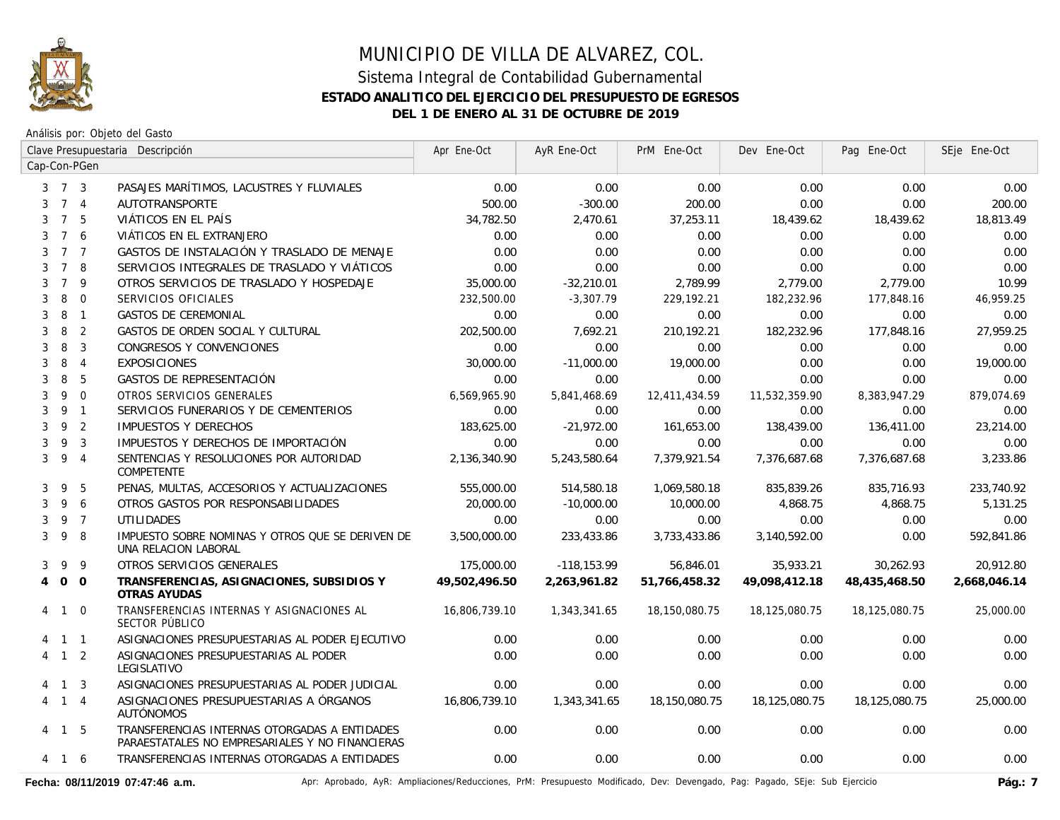

Análisis por: Objeto del Gasto

|                | Clave Presupuestaria Descripción |                |                                                                                                  | Apr Ene-Oct   | AyR Ene-Oct   | PrM Ene-Oct   | Dev Ene-Oct   | Pag Ene-Oct   | SEje Ene-Oct |
|----------------|----------------------------------|----------------|--------------------------------------------------------------------------------------------------|---------------|---------------|---------------|---------------|---------------|--------------|
| Cap-Con-PGen   |                                  |                |                                                                                                  |               |               |               |               |               |              |
|                | $3 \quad 7 \quad 3$              |                | PASAJES MARÍTIMOS, LACUSTRES Y FLUVIALES                                                         | 0.00          | 0.00          | 0.00          | 0.00          | 0.00          | 0.00         |
| 3              |                                  | 7 <sub>4</sub> | AUTOTRANSPORTE                                                                                   | 500.00        | $-300.00$     | 200.00        | 0.00          | 0.00          | 200.00       |
| 3              | $7^{\circ}$                      | 5              | VIÁTICOS EN EL PAÍS                                                                              | 34,782.50     | 2,470.61      | 37,253.11     | 18,439.62     | 18,439.62     | 18,813.49    |
| 3              | $\overline{7}$                   | 6              | VIÁTICOS EN EL EXTRANJERO                                                                        | 0.00          | 0.00          | 0.00          | 0.00          | 0.00          | 0.00         |
| 3              |                                  | 7 <sub>7</sub> | GASTOS DE INSTALACIÓN Y TRASLADO DE MENAJE                                                       | 0.00          | 0.00          | 0.00          | 0.00          | 0.00          | 0.00         |
| 3              | $7\overline{ }$                  | 8              | SERVICIOS INTEGRALES DE TRASLADO Y VIÁTICOS                                                      | 0.00          | 0.00          | 0.00          | 0.00          | 0.00          | 0.00         |
| 3              | $\overline{7}$                   | 9              | OTROS SERVICIOS DE TRASLADO Y HOSPEDAJE                                                          | 35,000.00     | $-32,210.01$  | 2,789.99      | 2,779.00      | 2,779.00      | 10.99        |
| 3              | 8                                | $\mathbf 0$    | SERVICIOS OFICIALES                                                                              | 232,500.00    | $-3,307.79$   | 229,192.21    | 182.232.96    | 177,848.16    | 46.959.25    |
| 3              | 8                                | $\overline{1}$ | <b>GASTOS DE CEREMONIAL</b>                                                                      | 0.00          | 0.00          | 0.00          | 0.00          | 0.00          | 0.00         |
| 3              | 8                                | $\overline{2}$ | GASTOS DE ORDEN SOCIAL Y CULTURAL                                                                | 202,500.00    | 7,692.21      | 210,192.21    | 182,232.96    | 177,848.16    | 27,959.25    |
| 3              | 8                                | 3              | CONGRESOS Y CONVENCIONES                                                                         | 0.00          | 0.00          | 0.00          | 0.00          | 0.00          | 0.00         |
| 3              | 8                                | $\overline{4}$ | <b>EXPOSICIONES</b>                                                                              | 30,000.00     | $-11,000.00$  | 19,000.00     | 0.00          | 0.00          | 19,000.00    |
| 3              | 8                                | 5              | GASTOS DE REPRESENTACIÓN                                                                         | 0.00          | 0.00          | 0.00          | 0.00          | 0.00          | 0.00         |
| 3              | 9                                | $\mathbf{0}$   | OTROS SERVICIOS GENERALES                                                                        | 6,569,965.90  | 5,841,468.69  | 12,411,434.59 | 11,532,359.90 | 8,383,947.29  | 879,074.69   |
| 3              | 9                                | $\mathbf{1}$   | SERVICIOS FUNERARIOS Y DE CEMENTERIOS                                                            | 0.00          | 0.00          | 0.00          | 0.00          | 0.00          | 0.00         |
| 3              | 9                                | 2              | <b>IMPUESTOS Y DERECHOS</b>                                                                      | 183,625.00    | $-21.972.00$  | 161,653.00    | 138,439.00    | 136,411.00    | 23,214.00    |
| 3              | 9                                | $\mathbf{3}$   | IMPUESTOS Y DERECHOS DE IMPORTACIÓN                                                              | 0.00          | 0.00          | 0.00          | 0.00          | 0.00          | 0.00         |
| 3              | 9                                | $\overline{4}$ | SENTENCIAS Y RESOLUCIONES POR AUTORIDAD<br>COMPETENTE                                            | 2,136,340.90  | 5,243,580.64  | 7,379,921.54  | 7,376,687.68  | 7,376,687.68  | 3,233.86     |
| 3              | 9                                | 5              | PENAS, MULTAS, ACCESORIOS Y ACTUALIZACIONES                                                      | 555,000.00    | 514,580.18    | 1,069,580.18  | 835,839.26    | 835,716.93    | 233,740.92   |
| 3              | 9                                | 6              | OTROS GASTOS POR RESPONSABILIDADES                                                               | 20,000.00     | $-10,000.00$  | 10,000.00     | 4,868.75      | 4,868.75      | 5,131.25     |
| 3              | 9                                | $\overline{7}$ | <b>UTILIDADES</b>                                                                                | 0.00          | 0.00          | 0.00          | 0.00          | 0.00          | 0.00         |
| 3              | 9                                | 8              | IMPUESTO SOBRE NOMINAS Y OTROS QUE SE DERIVEN DE<br>UNA RELACION LABORAL                         | 3.500.000.00  | 233,433.86    | 3,733,433.86  | 3,140,592.00  | 0.00          | 592,841.86   |
| 3              | 9                                | 9              | OTROS SERVICIOS GENERALES                                                                        | 175,000.00    | $-118.153.99$ | 56,846.01     | 35,933.21     | 30.262.93     | 20.912.80    |
| $\overline{4}$ | $\circ$                          | $\overline{0}$ | TRANSFERENCIAS, ASIGNACIONES, SUBSIDIOS Y<br>OTRAS AYUDAS                                        | 49,502,496.50 | 2,263,961.82  | 51,766,458.32 | 49,098,412.18 | 48,435,468.50 | 2,668,046.14 |
| 4              | $\overline{1}$                   | $\overline{0}$ | TRANSFERENCIAS INTERNAS Y ASIGNACIONES AL<br>SECTOR PÚBLICO                                      | 16,806,739.10 | 1,343,341.65  | 18,150,080.75 | 18,125,080.75 | 18,125,080.75 | 25,000.00    |
|                |                                  | $1 \quad 1$    | ASIGNACIONES PRESUPUESTARIAS AL PODER EJECUTIVO                                                  | 0.00          | 0.00          | 0.00          | 0.00          | 0.00          | 0.00         |
|                | $\mathbf{1}$                     | 2              | ASIGNACIONES PRESUPUESTARIAS AL PODER<br>LEGISLATIVO                                             | 0.00          | 0.00          | 0.00          | 0.00          | 0.00          | 0.00         |
| 4              | $\overline{1}$                   | 3              | ASIGNACIONES PRESUPUESTARIAS AL PODER JUDICIAL                                                   | 0.00          | 0.00          | 0.00          | 0.00          | 0.00          | 0.00         |
| 4              | $\overline{1}$                   | $\overline{4}$ | ASIGNACIONES PRESUPUESTARIAS A ÓRGANOS<br><b>AUTÓNOMOS</b>                                       | 16,806,739.10 | 1,343,341.65  | 18,150,080.75 | 18,125,080.75 | 18,125,080.75 | 25,000.00    |
| 4              | $\overline{1}$                   | 5              | TRANSFERENCIAS INTERNAS OTORGADAS A ENTIDADES<br>PARAESTATALES NO EMPRESARIALES Y NO FINANCIERAS | 0.00          | 0.00          | 0.00          | 0.00          | 0.00          | 0.00         |
| 4              |                                  | 1 6            | TRANSFERENCIAS INTERNAS OTORGADAS A ENTIDADES                                                    | 0.00          | 0.00          | 0.00          | 0.00          | 0.00          | 0.00         |

Fecha: 08/11/2019 07:47:46 a.m. <br>Pág.: 7 Aprobado, AyR: Ampliaciones/Reducciones, PrM: Presupuesto Modificado, Dev: Devengado, Pag: Pagado, SEje: Sub Ejercicio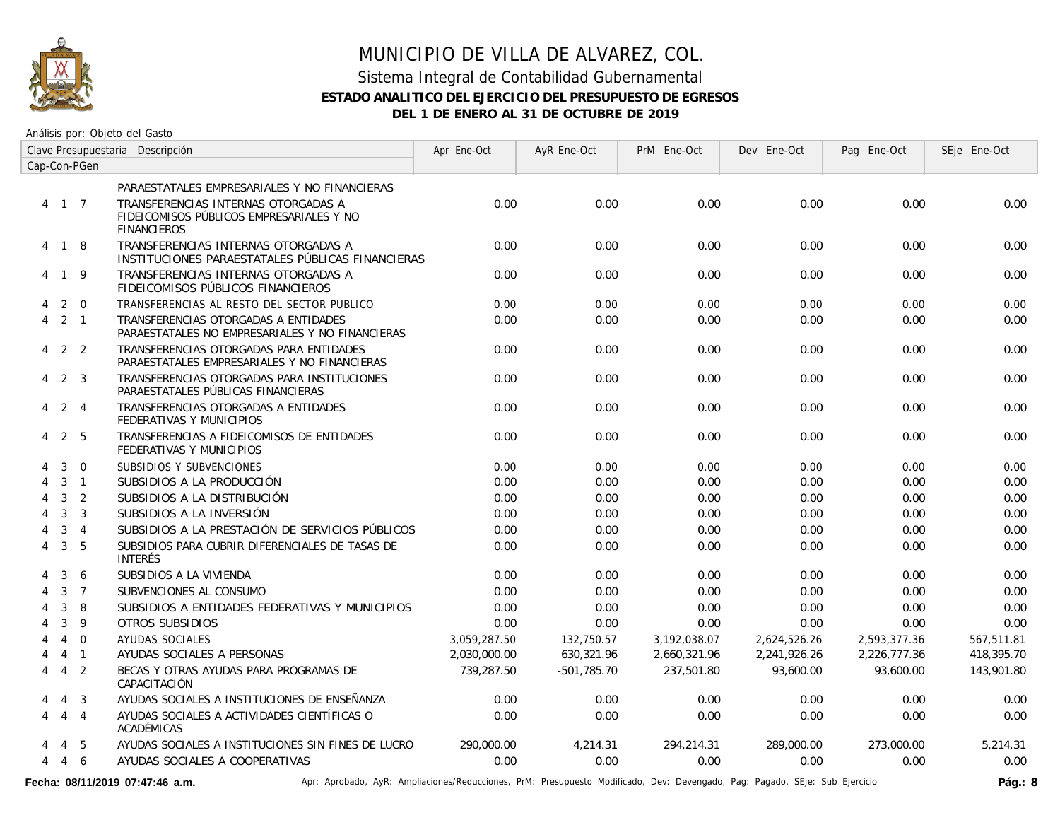

### Sistema Integral de Contabilidad Gubernamental **ESTADO ANALITICO DEL EJERCICIO DEL PRESUPUESTO DE EGRESOS DEL 1 DE ENERO AL 31 DE OCTUBRE DE 2019**

Análisis por: Objeto del Gasto

|   |                   |                | Clave Presupuestaria Descripción                                                                      | Apr Ene-Oct  | AyR Ene-Oct   | PrM Ene-Oct  | Dev Ene-Oct  | Pag Ene-Oct  | SEje Ene-Oct |
|---|-------------------|----------------|-------------------------------------------------------------------------------------------------------|--------------|---------------|--------------|--------------|--------------|--------------|
|   |                   | Cap-Con-PGen   |                                                                                                       |              |               |              |              |              |              |
|   |                   |                | PARAESTATALES EMPRESARIALES Y NO FINANCIERAS                                                          |              |               |              |              |              |              |
|   | 4 1 7             |                | TRANSFERENCIAS INTERNAS OTORGADAS A<br>FIDEICOMISOS PÚBLICOS EMPRESARIALES Y NO<br><b>FINANCIEROS</b> | 0.00         | 0.00          | 0.00         | 0.00         | 0.00         | 0.00         |
|   | 4 1 8             |                | TRANSFERENCIAS INTERNAS OTORGADAS A<br>INSTITUCIONES PARAESTATALES PÚBLICAS FINANCIERAS               | 0.00         | 0.00          | 0.00         | 0.00         | 0.00         | 0.00         |
|   | 4 1 9             |                | TRANSFERENCIAS INTERNAS OTORGADAS A<br>FIDEICOMISOS PÚBLICOS FINANCIEROS                              | 0.00         | 0.00          | 0.00         | 0.00         | 0.00         | 0.00         |
| 4 |                   | $2 \quad 0$    | TRANSFERENCIAS AL RESTO DEL SECTOR PUBLICO                                                            | 0.00         | 0.00          | 0.00         | 0.00         | 0.00         | 0.00         |
| 4 | $2 \quad 1$       |                | TRANSFERENCIAS OTORGADAS A ENTIDADES<br>PARAESTATALES NO EMPRESARIALES Y NO FINANCIERAS               | 0.00         | 0.00          | 0.00         | 0.00         | 0.00         | 0.00         |
|   | $4\quad 2\quad 2$ |                | TRANSFERENCIAS OTORGADAS PARA ENTIDADES<br>PARAESTATALES EMPRESARIALES Y NO FINANCIERAS               | 0.00         | 0.00          | 0.00         | 0.00         | 0.00         | 0.00         |
| 4 |                   | 2 3            | TRANSFERENCIAS OTORGADAS PARA INSTITUCIONES<br>PARAESTATALES PÚBLICAS FINANCIERAS                     | 0.00         | 0.00          | 0.00         | 0.00         | 0.00         | 0.00         |
| 4 | 2 4               |                | TRANSFERENCIAS OTORGADAS A ENTIDADES<br>FEDERATIVAS Y MUNICIPIOS                                      | 0.00         | 0.00          | 0.00         | 0.00         | 0.00         | 0.00         |
| 4 | 2                 | -5             | TRANSFERENCIAS A FIDEICOMISOS DE ENTIDADES<br>FEDERATIVAS Y MUNICIPIOS                                | 0.00         | 0.00          | 0.00         | 0.00         | 0.00         | 0.00         |
|   | 3                 | $\mathbf 0$    | SUBSIDIOS Y SUBVENCIONES                                                                              | 0.00         | 0.00          | 0.00         | 0.00         | 0.00         | 0.00         |
| 4 |                   | $3-1$          | SUBSIDIOS A LA PRODUCCIÓN                                                                             | 0.00         | 0.00          | 0.00         | 0.00         | 0.00         | 0.00         |
| 4 | $\mathbf{3}$      | 2              | SUBSIDIOS A LA DISTRIBUCIÓN                                                                           | 0.00         | 0.00          | 0.00         | 0.00         | 0.00         | 0.00         |
| 4 | 3                 | 3              | SUBSIDIOS A LA INVERSIÓN                                                                              | 0.00         | 0.00          | 0.00         | 0.00         | 0.00         | 0.00         |
|   | 3                 | $\overline{4}$ | SUBSIDIOS A LA PRESTACIÓN DE SERVICIOS PÚBLICOS                                                       | 0.00         | 0.00          | 0.00         | 0.00         | 0.00         | 0.00         |
| 4 | 3                 | 5              | SUBSIDIOS PARA CUBRIR DIFERENCIALES DE TASAS DE<br><b>INTERÉS</b>                                     | 0.00         | 0.00          | 0.00         | 0.00         | 0.00         | 0.00         |
|   | 3                 | -6             | SUBSIDIOS A LA VIVIENDA                                                                               | 0.00         | 0.00          | 0.00         | 0.00         | 0.00         | 0.00         |
|   | 3                 | $\overline{7}$ | SUBVENCIONES AL CONSUMO                                                                               | 0.00         | 0.00          | 0.00         | 0.00         | 0.00         | 0.00         |
|   | 3                 | 8              | SUBSIDIOS A ENTIDADES FEDERATIVAS Y MUNICIPIOS                                                        | 0.00         | 0.00          | 0.00         | 0.00         | 0.00         | 0.00         |
|   | 3                 | 9              | OTROS SUBSIDIOS                                                                                       | 0.00         | 0.00          | 0.00         | 0.00         | 0.00         | 0.00         |
|   | $\overline{4}$    | $\Omega$       | AYUDAS SOCIALES                                                                                       | 3.059.287.50 | 132,750.57    | 3,192,038.07 | 2,624,526.26 | 2,593,377.36 | 567,511.81   |
|   |                   | $4 \quad 1$    | AYUDAS SOCIALES A PERSONAS                                                                            | 2,030,000.00 | 630,321.96    | 2,660,321.96 | 2,241,926.26 | 2,226,777.36 | 418,395.70   |
| 4 | $\overline{4}$    | $\overline{2}$ | BECAS Y OTRAS AYUDAS PARA PROGRAMAS DE<br>CAPACITACIÓN                                                | 739,287.50   | $-501.785.70$ | 237,501.80   | 93,600.00    | 93.600.00    | 143,901.80   |
|   | $\overline{4}$    | $\overline{3}$ | AYUDAS SOCIALES A INSTITUCIONES DE ENSEÑANZA                                                          | 0.00         | 0.00          | 0.00         | 0.00         | 0.00         | 0.00         |
| 4 |                   | 4 4            | AYUDAS SOCIALES A ACTIVIDADES CIENTÍFICAS O<br>ACADÉMICAS                                             | 0.00         | 0.00          | 0.00         | 0.00         | 0.00         | 0.00         |
|   | 4                 | -5             | AYUDAS SOCIALES A INSTITUCIONES SIN FINES DE LUCRO                                                    | 290,000.00   | 4,214.31      | 294,214.31   | 289,000.00   | 273,000.00   | 5,214.31     |
| 4 | $4\overline{6}$   |                | AYUDAS SOCIALES A COOPERATIVAS                                                                        | 0.00         | 0.00          | 0.00         | 0.00         | 0.00         | 0.00         |

Fecha: 08/11/2019 07:47:46 a.m. **Ancher Aprobado, AyR: Ampliaciones/Reducciones, PrM: Presupuesto Modificado, Dev: Devengado, Pag: Pagado, SEje: Sub Ejercicio Pág.: 8**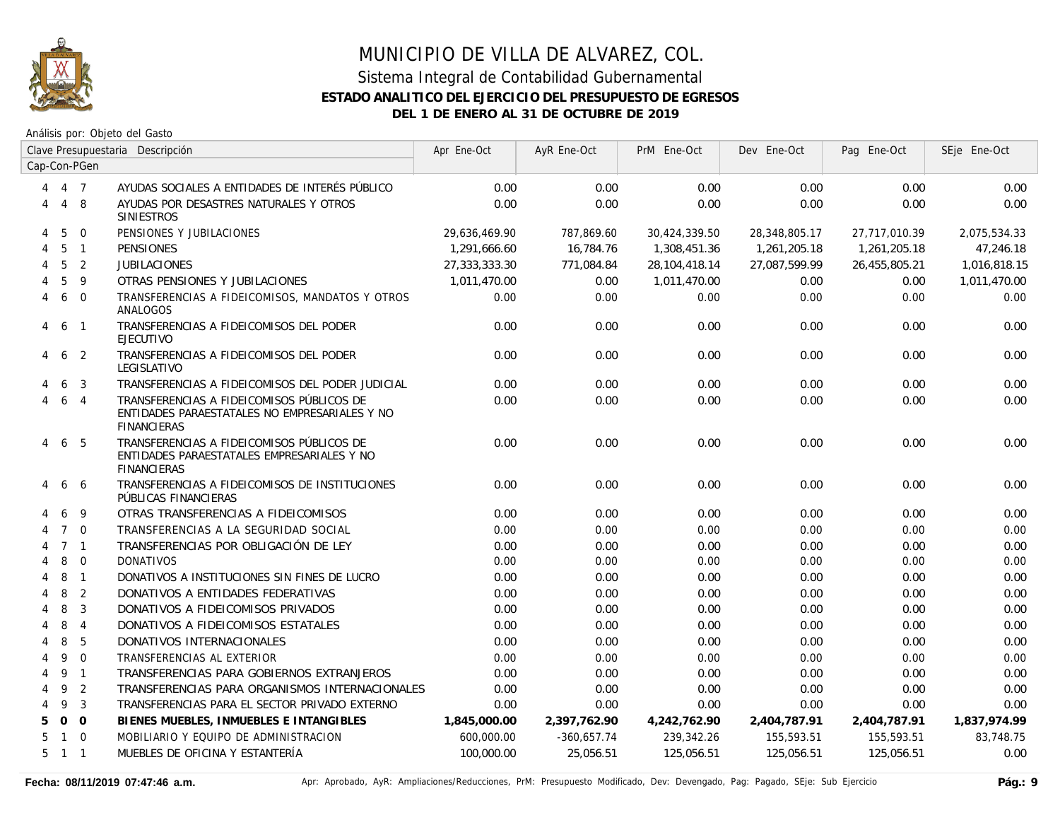

|   | Clave Presupuestaria Descripción |                | Apr Ene-Oct                                                                                                      | AyR Ene-Oct   | PrM Ene-Oct   | Dev Ene-Oct   | Pag Ene-Oct   | SEje Ene-Oct  |              |
|---|----------------------------------|----------------|------------------------------------------------------------------------------------------------------------------|---------------|---------------|---------------|---------------|---------------|--------------|
|   |                                  | Cap-Con-PGen   |                                                                                                                  |               |               |               |               |               |              |
| 4 | 4 7                              |                | AYUDAS SOCIALES A ENTIDADES DE INTERÉS PÚBLICO                                                                   | 0.00          | 0.00          | 0.00          | 0.00          | 0.00          | 0.00         |
| 4 | $\overline{4}$                   | 8              | AYUDAS POR DESASTRES NATURALES Y OTROS<br><b>SINIESTROS</b>                                                      | 0.00          | 0.00          | 0.00          | 0.00          | 0.00          | 0.00         |
| 4 | 5                                | $\mathbf 0$    | PENSIONES Y JUBILACIONES                                                                                         | 29,636,469.90 | 787,869.60    | 30,424,339.50 | 28,348,805.17 | 27,717,010.39 | 2,075,534.33 |
| 4 | 5                                | $\overline{1}$ | <b>PENSIONES</b>                                                                                                 | 1,291,666.60  | 16,784.76     | 1,308,451.36  | 1,261,205.18  | 1,261,205.18  | 47,246.18    |
|   | 5                                | $\overline{2}$ | <b>JUBILACIONES</b>                                                                                              | 27,333,333.30 | 771,084.84    | 28,104,418.14 | 27,087,599.99 | 26,455,805.21 | 1,016,818.15 |
|   | 5                                | 9              | OTRAS PENSIONES Y JUBILACIONES                                                                                   | 1,011,470.00  | 0.00          | 1,011,470.00  | 0.00          | 0.00          | 1,011,470.00 |
| 4 | 6                                | $\overline{0}$ | TRANSFERENCIAS A FIDEICOMISOS, MANDATOS Y OTROS<br>ANALOGOS                                                      | 0.00          | 0.00          | 0.00          | 0.00          | 0.00          | 0.00         |
| 4 | 6                                | $\overline{1}$ | TRANSFERENCIAS A FIDEICOMISOS DEL PODER<br><b>EJECUTIVO</b>                                                      | 0.00          | 0.00          | 0.00          | 0.00          | 0.00          | 0.00         |
| 4 | 6                                | $\overline{2}$ | TRANSFERENCIAS A FIDEICOMISOS DEL PODER<br>LEGISLATIVO                                                           | 0.00          | 0.00          | 0.00          | 0.00          | 0.00          | 0.00         |
|   | 6                                | 3              | TRANSFERENCIAS A FIDEICOMISOS DEL PODER JUDICIAL                                                                 | 0.00          | 0.00          | 0.00          | 0.00          | 0.00          | 0.00         |
| 4 | 6                                | $\overline{4}$ | TRANSFERENCIAS A FIDEICOMISOS PÚBLICOS DE<br>ENTIDADES PARAESTATALES NO EMPRESARIALES Y NO<br><b>FINANCIERAS</b> | 0.00          | 0.00          | 0.00          | 0.00          | 0.00          | 0.00         |
| 4 | 6                                | -5             | TRANSFERENCIAS A FIDEICOMISOS PÚBLICOS DE<br>ENTIDADES PARAESTATALES EMPRESARIALES Y NO<br><b>FINANCIERAS</b>    | 0.00          | 0.00          | 0.00          | 0.00          | 0.00          | 0.00         |
|   | 6                                | -6             | TRANSFERENCIAS A FIDEICOMISOS DE INSTITUCIONES<br>PÚBLICAS FINANCIERAS                                           | 0.00          | 0.00          | 0.00          | 0.00          | 0.00          | 0.00         |
|   | 6                                | 9              | OTRAS TRANSFERENCIAS A FIDEICOMISOS                                                                              | 0.00          | 0.00          | 0.00          | 0.00          | 0.00          | 0.00         |
|   | $7^{\circ}$                      | $\Omega$       | TRANSFERENCIAS A LA SEGURIDAD SOCIAL                                                                             | 0.00          | 0.00          | 0.00          | 0.00          | 0.00          | 0.00         |
|   |                                  | 7 <sub>1</sub> | TRANSFERENCIAS POR OBLIGACIÓN DE LEY                                                                             | 0.00          | 0.00          | 0.00          | 0.00          | 0.00          | 0.00         |
|   | 8                                | $\overline{0}$ | <b>DONATIVOS</b>                                                                                                 | 0.00          | 0.00          | 0.00          | 0.00          | 0.00          | 0.00         |
| 4 | 8                                | $\overline{1}$ | DONATIVOS A INSTITUCIONES SIN FINES DE LUCRO                                                                     | 0.00          | 0.00          | 0.00          | 0.00          | 0.00          | 0.00         |
| 4 | 8                                | $\overline{2}$ | DONATIVOS A ENTIDADES FEDERATIVAS                                                                                | 0.00          | 0.00          | 0.00          | 0.00          | 0.00          | 0.00         |
|   | 8                                | $\mathbf{3}$   | DONATIVOS A FIDEICOMISOS PRIVADOS                                                                                | 0.00          | 0.00          | 0.00          | 0.00          | 0.00          | 0.00         |
| 4 | 8                                | $\overline{4}$ | DONATIVOS A FIDEICOMISOS ESTATALES                                                                               | 0.00          | 0.00          | 0.00          | 0.00          | 0.00          | 0.00         |
| 4 | 8                                | 5              | DONATIVOS INTERNACIONALES                                                                                        | 0.00          | 0.00          | 0.00          | 0.00          | 0.00          | 0.00         |
| 4 | 9                                | $\overline{0}$ | TRANSFERENCIAS AL EXTERIOR                                                                                       | 0.00          | 0.00          | 0.00          | 0.00          | 0.00          | 0.00         |
| 4 | 9                                | $\overline{1}$ | TRANSFERENCIAS PARA GOBIERNOS EXTRANJEROS                                                                        | 0.00          | 0.00          | 0.00          | 0.00          | 0.00          | 0.00         |
| 4 | 9                                | 2              | TRANSFERENCIAS PARA ORGANISMOS INTERNACIONALES                                                                   | 0.00          | 0.00          | 0.00          | 0.00          | 0.00          | 0.00         |
| 4 | 9                                | 3              | TRANSFERENCIAS PARA EL SECTOR PRIVADO EXTERNO                                                                    | 0.00          | 0.00          | 0.00          | 0.00          | 0.00          | 0.00         |
| 5 | $\overline{O}$                   | $\overline{0}$ | BIENES MUEBLES, INMUEBLES E INTANGIBLES                                                                          | 1,845,000.00  | 2,397,762.90  | 4,242,762.90  | 2,404,787.91  | 2,404,787.91  | 1,837,974.99 |
| 5 | $\mathbf{1}$                     | $\Omega$       | MOBILIARIO Y EQUIPO DE ADMINISTRACION                                                                            | 600,000.00    | $-360,657.74$ | 239,342.26    | 155,593.51    | 155,593.51    | 83,748.75    |
|   | $5 \quad 1 \quad 1$              |                | MUEBLES DE OFICINA Y ESTANTERÍA                                                                                  | 100,000.00    | 25,056.51     | 125,056.51    | 125,056.51    | 125,056.51    | 0.00         |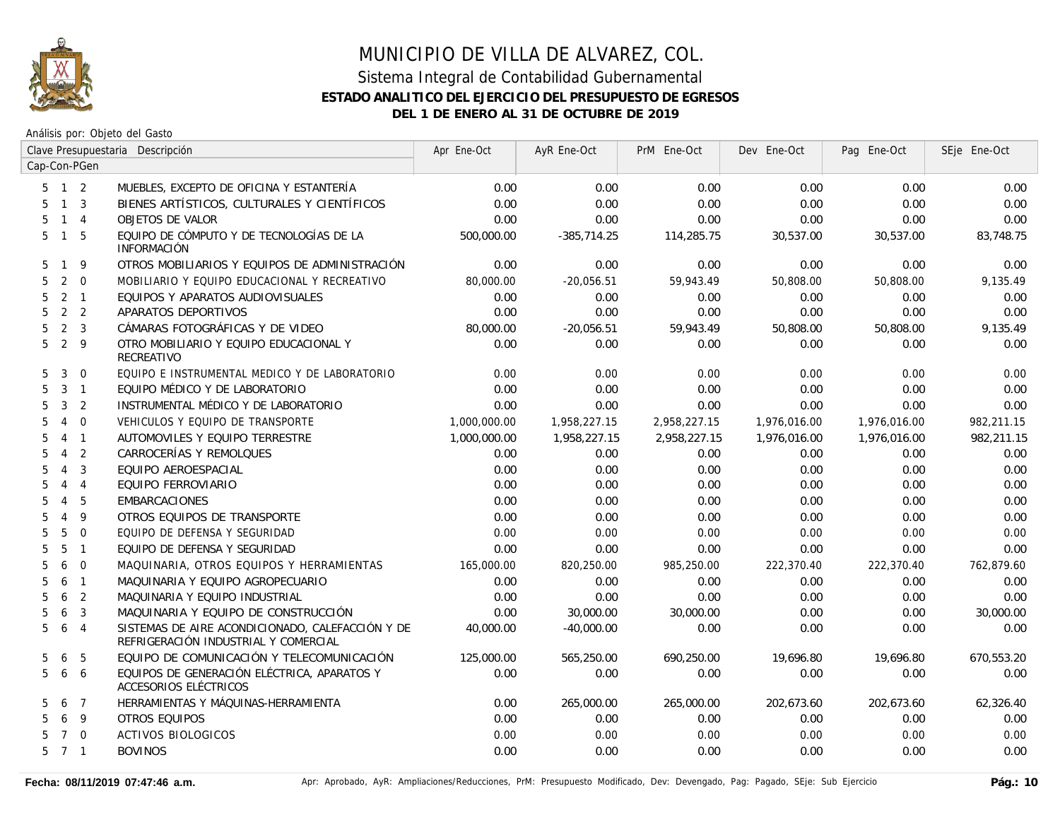

Análisis por: Objeto del Gasto

|                     |                |                         | Clave Presupuestaria Descripción                                                         | Apr Ene-Oct  | AyR Ene-Oct   | PrM Ene-Oct  | Dev Ene-Oct  | Pag Ene-Oct  | SEje Ene-Oct |
|---------------------|----------------|-------------------------|------------------------------------------------------------------------------------------|--------------|---------------|--------------|--------------|--------------|--------------|
| Cap-Con-PGen        |                |                         |                                                                                          |              |               |              |              |              |              |
| $5 \quad 1 \quad 2$ |                |                         | MUEBLES, EXCEPTO DE OFICINA Y ESTANTERÍA                                                 | 0.00         | 0.00          | 0.00         | 0.00         | 0.00         | 0.00         |
| 5                   | $1 \quad 3$    |                         | BIENES ARTÍSTICOS, CULTURALES Y CIENTÍFICOS                                              | 0.00         | 0.00          | 0.00         | 0.00         | 0.00         | 0.00         |
| 5                   | $1 \quad 4$    |                         | <b>OBJETOS DE VALOR</b>                                                                  | 0.00         | 0.00          | 0.00         | 0.00         | 0.00         | 0.00         |
| 5                   | $\overline{1}$ | 5                       | EQUIPO DE CÓMPUTO Y DE TECNOLOGÍAS DE LA<br><b>INFORMACIÓN</b>                           | 500,000.00   | $-385,714.25$ | 114,285.75   | 30,537.00    | 30,537.00    | 83,748.75    |
| 5.                  | $\mathbf{1}$   | 9                       | OTROS MOBILIARIOS Y EQUIPOS DE ADMINISTRACIÓN                                            | 0.00         | 0.00          | 0.00         | 0.00         | 0.00         | 0.00         |
| 5                   | 2              | $\mathbf 0$             | MOBILIARIO Y EQUIPO EDUCACIONAL Y RECREATIVO                                             | 80,000.00    | $-20,056.51$  | 59,943.49    | 50,808.00    | 50,808.00    | 9,135.49     |
| 5                   | 2              | $\overline{1}$          | EQUIPOS Y APARATOS AUDIOVISUALES                                                         | 0.00         | 0.00          | 0.00         | 0.00         | 0.00         | 0.00         |
| 5                   | 2 <sub>2</sub> |                         | APARATOS DEPORTIVOS                                                                      | 0.00         | 0.00          | 0.00         | 0.00         | 0.00         | 0.00         |
| 5.                  | 2              | $\overline{\mathbf{3}}$ | CÁMARAS FOTOGRÁFICAS Y DE VIDEO                                                          | 80,000.00    | $-20,056.51$  | 59,943.49    | 50,808.00    | 50,808.00    | 9,135.49     |
| 5                   | 2 <sup>9</sup> |                         | OTRO MOBILIARIO Y EQUIPO EDUCACIONAL Y<br><b>RECREATIVO</b>                              | 0.00         | 0.00          | 0.00         | 0.00         | 0.00         | 0.00         |
| 5                   | 3              | $\Omega$                | EQUIPO E INSTRUMENTAL MEDICO Y DE LABORATORIO                                            | 0.00         | 0.00          | 0.00         | 0.00         | 0.00         | 0.00         |
| 5                   | $3 \quad 1$    |                         | EQUIPO MÉDICO Y DE LABORATORIO                                                           | 0.00         | 0.00          | 0.00         | 0.00         | 0.00         | 0.00         |
| 5                   | 3              | 2                       | INSTRUMENTAL MÉDICO Y DE LABORATORIO                                                     | 0.00         | 0.00          | 0.00         | 0.00         | 0.00         | 0.00         |
| 5                   | $\overline{4}$ | $\mathbf{0}$            | VEHICULOS Y EQUIPO DE TRANSPORTE                                                         | 1,000,000.00 | 1,958,227.15  | 2,958,227.15 | 1,976,016.00 | 1,976,016.00 | 982,211.15   |
| 5                   | 4              | $\overline{1}$          | AUTOMOVILES Y EQUIPO TERRESTRE                                                           | 1,000,000.00 | 1,958,227.15  | 2,958,227.15 | 1,976,016.00 | 1,976,016.00 | 982,211.15   |
| 5                   | $\overline{4}$ | 2                       | CARROCERÍAS Y REMOLQUES                                                                  | 0.00         | 0.00          | 0.00         | 0.00         | 0.00         | 0.00         |
| 5                   | $\overline{4}$ | 3                       | EQUIPO AEROESPACIAL                                                                      | 0.00         | 0.00          | 0.00         | 0.00         | 0.00         | 0.00         |
| 5.                  | $\overline{4}$ | $\overline{4}$          | EQUIPO FERROVIARIO                                                                       | 0.00         | 0.00          | 0.00         | 0.00         | 0.00         | 0.00         |
| 5.                  | 4              | 5                       | <b>EMBARCACIONES</b>                                                                     | 0.00         | 0.00          | 0.00         | 0.00         | 0.00         | 0.00         |
| 5                   | $\overline{4}$ | 9                       | OTROS EQUIPOS DE TRANSPORTE                                                              | 0.00         | 0.00          | 0.00         | 0.00         | 0.00         | 0.00         |
| 5                   | 5              | $\Omega$                | EQUIPO DE DEFENSA Y SEGURIDAD                                                            | 0.00         | 0.00          | 0.00         | 0.00         | 0.00         | 0.00         |
| 5                   | 5              | $\overline{1}$          | EQUIPO DE DEFENSA Y SEGURIDAD                                                            | 0.00         | 0.00          | 0.00         | 0.00         | 0.00         | 0.00         |
| 5                   | 6              | $\overline{0}$          | MAQUINARIA, OTROS EQUIPOS Y HERRAMIENTAS                                                 | 165,000.00   | 820,250.00    | 985,250.00   | 222,370.40   | 222,370.40   | 762,879.60   |
| 5.                  | 6              | $\overline{1}$          | MAQUINARIA Y EQUIPO AGROPECUARIO                                                         | 0.00         | 0.00          | 0.00         | 0.00         | 0.00         | 0.00         |
| 5                   | 6              | $\overline{2}$          | MAQUINARIA Y EQUIPO INDUSTRIAL                                                           | 0.00         | 0.00          | 0.00         | 0.00         | 0.00         | 0.00         |
| 5                   | 6              | 3                       | MAQUINARIA Y EQUIPO DE CONSTRUCCIÓN                                                      | 0.00         | 30,000.00     | 30,000.00    | 0.00         | 0.00         | 30,000.00    |
| 5                   | 6              | $\overline{4}$          | SISTEMAS DE AIRE ACONDICIONADO, CALEFACCIÓN Y DE<br>REFRIGERACIÓN INDUSTRIAL Y COMERCIAL | 40,000.00    | $-40.000.00$  | 0.00         | 0.00         | 0.00         | 0.00         |
| 5                   | 6              | 5                       | EQUIPO DE COMUNICACIÓN Y TELECOMUNICACIÓN                                                | 125,000.00   | 565,250.00    | 690,250.00   | 19,696.80    | 19,696.80    | 670,553.20   |
| 5                   | 6              | 6                       | EQUIPOS DE GENERACIÓN ELÉCTRICA, APARATOS Y<br>ACCESORIOS ELÉCTRICOS                     | 0.00         | 0.00          | 0.00         | 0.00         | 0.00         | 0.00         |
| 5                   | 6              | $\overline{7}$          | HERRAMIENTAS Y MÁQUINAS-HERRAMIENTA                                                      | 0.00         | 265,000.00    | 265,000.00   | 202,673.60   | 202,673.60   | 62,326.40    |
| 5                   | 6              | $\overline{9}$          | <b>OTROS EQUIPOS</b>                                                                     | 0.00         | 0.00          | 0.00         | 0.00         | 0.00         | 0.00         |
| 5                   | 7 0            |                         | <b>ACTIVOS BIOLOGICOS</b>                                                                | 0.00         | 0.00          | 0.00         | 0.00         | 0.00         | 0.00         |
| $5 \quad 7 \quad 1$ |                |                         | <b>BOVINOS</b>                                                                           | 0.00         | 0.00          | 0.00         | 0.00         | 0.00         | 0.00         |
|                     |                |                         |                                                                                          |              |               |              |              |              |              |

Fecha: 08/11/2019 07:47:46 a.m. **Antical Accordiones Agelia AyR:** Ampliaciones/Reducciones, PrM: Presupuesto Modificado, Dev: Devengado, Pag: Pagado, SEje: Sub Ejercicio Pág.: 10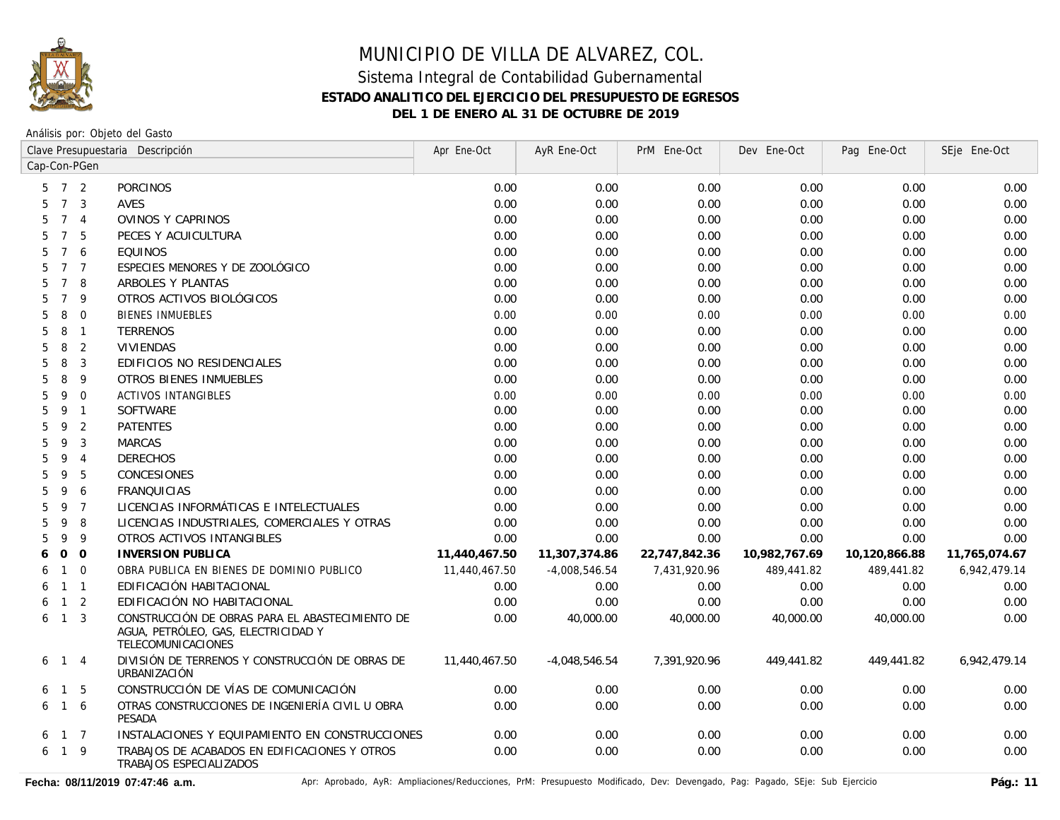

Análisis por: Objeto del Gasto

|                     |                 |                | Clave Presupuestaria Descripción                                                                             | Apr Ene-Oct   | AyR Ene-Oct     | PrM Ene-Oct   | Dev Ene-Oct   | Pag Ene-Oct   | SEje Ene-Oct  |
|---------------------|-----------------|----------------|--------------------------------------------------------------------------------------------------------------|---------------|-----------------|---------------|---------------|---------------|---------------|
| Cap-Con-PGen        |                 |                |                                                                                                              |               |                 |               |               |               |               |
| $5 \quad 7 \quad 2$ |                 |                | <b>PORCINOS</b>                                                                                              | 0.00          | 0.00            | 0.00          | 0.00          | 0.00          | 0.00          |
| 5                   | $\overline{7}$  | 3              | <b>AVES</b>                                                                                                  | 0.00          | 0.00            | 0.00          | 0.00          | 0.00          | 0.00          |
| 5                   | $\overline{7}$  | $\overline{4}$ | OVINOS Y CAPRINOS                                                                                            | 0.00          | 0.00            | 0.00          | 0.00          | 0.00          | 0.00          |
| 5                   | $\overline{7}$  | 5              | PECES Y ACUICULTURA                                                                                          | 0.00          | 0.00            | 0.00          | 0.00          | 0.00          | 0.00          |
| 5                   | $\overline{7}$  | 6              | <b>EQUINOS</b>                                                                                               | 0.00          | 0.00            | 0.00          | 0.00          | 0.00          | 0.00          |
| 5                   | $7\overline{ }$ | $\overline{7}$ | ESPECIES MENORES Y DE ZOOLÓGICO                                                                              | 0.00          | 0.00            | 0.00          | 0.00          | 0.00          | 0.00          |
| 5                   | $7\overline{ }$ | 8              | ARBOLES Y PLANTAS                                                                                            | 0.00          | 0.00            | 0.00          | 0.00          | 0.00          | 0.00          |
| 5                   | $\overline{7}$  | 9              | OTROS ACTIVOS BIOLÓGICOS                                                                                     | 0.00          | 0.00            | 0.00          | 0.00          | 0.00          | 0.00          |
| 5                   | 8               | $\mathbf 0$    | <b>BIENES INMUEBLES</b>                                                                                      | 0.00          | 0.00            | 0.00          | 0.00          | 0.00          | 0.00          |
| 5                   | 8               | $\mathbf{1}$   | <b>TERRENOS</b>                                                                                              | 0.00          | 0.00            | 0.00          | 0.00          | 0.00          | 0.00          |
| 5                   | 8               | $\overline{2}$ | <b>VIVIENDAS</b>                                                                                             | 0.00          | 0.00            | 0.00          | 0.00          | 0.00          | 0.00          |
| 5                   | 8               | 3              | EDIFICIOS NO RESIDENCIALES                                                                                   | 0.00          | 0.00            | 0.00          | 0.00          | 0.00          | 0.00          |
| 5                   | 8               | 9              | OTROS BIENES INMUEBLES                                                                                       | 0.00          | 0.00            | 0.00          | 0.00          | 0.00          | 0.00          |
| 5                   | 9               | $\Omega$       | ACTIVOS INTANGIBLES                                                                                          | 0.00          | 0.00            | 0.00          | 0.00          | 0.00          | 0.00          |
| 5                   | 9               | $\mathbf{1}$   | <b>SOFTWARE</b>                                                                                              | 0.00          | 0.00            | 0.00          | 0.00          | 0.00          | 0.00          |
| 5                   | 9               | 2              | <b>PATENTES</b>                                                                                              | 0.00          | 0.00            | 0.00          | 0.00          | 0.00          | 0.00          |
| 5                   | 9               | 3              | <b>MARCAS</b>                                                                                                | 0.00          | 0.00            | 0.00          | 0.00          | 0.00          | 0.00          |
| 5                   | 9               | $\overline{4}$ | <b>DERECHOS</b>                                                                                              | 0.00          | 0.00            | 0.00          | 0.00          | 0.00          | 0.00          |
| 5                   | 9               | 5              | <b>CONCESIONES</b>                                                                                           | 0.00          | 0.00            | 0.00          | 0.00          | 0.00          | 0.00          |
| 5                   | 9               | 6              | <b>FRANQUICIAS</b>                                                                                           | 0.00          | 0.00            | 0.00          | 0.00          | 0.00          | 0.00          |
| 5                   | 9               | $\overline{7}$ | LICENCIAS INFORMÁTICAS E INTELECTUALES                                                                       | 0.00          | 0.00            | 0.00          | 0.00          | 0.00          | 0.00          |
| 5                   | 9               | 8              | LICENCIAS INDUSTRIALES, COMERCIALES Y OTRAS                                                                  | 0.00          | 0.00            | 0.00          | 0.00          | 0.00          | 0.00          |
| 5                   | 9               | 9              | OTROS ACTIVOS INTANGIBLES                                                                                    | 0.00          | 0.00            | 0.00          | 0.00          | 0.00          | 0.00          |
| 6                   | $\overline{O}$  | $\overline{O}$ | <b>INVERSION PUBLICA</b>                                                                                     | 11,440,467.50 | 11,307,374.86   | 22,747,842.36 | 10,982,767.69 | 10,120,866.88 | 11,765,074.67 |
| 6                   | $\mathbf{1}$    | $\mathbf{0}$   | OBRA PUBLICA EN BIENES DE DOMINIO PUBLICO                                                                    | 11,440,467.50 | $-4,008,546.54$ | 7,431,920.96  | 489,441.82    | 489,441.82    | 6,942,479.14  |
| 6                   | $1 \quad 1$     |                | EDIFICACIÓN HABITACIONAL                                                                                     | 0.00          | 0.00            | 0.00          | 0.00          | 0.00          | 0.00          |
| 6                   |                 | $1\quad 2$     | EDIFICACIÓN NO HABITACIONAL                                                                                  | 0.00          | 0.00            | 0.00          | 0.00          | 0.00          | 0.00          |
| 6                   |                 | $1 \quad 3$    | CONSTRUCCIÓN DE OBRAS PARA EL ABASTECIMIENTO DE<br>AGUA, PETRÓLEO, GAS, ELECTRICIDAD Y<br>TELECOMUNICACIONES | 0.00          | 40,000.00       | 40,000.00     | 40,000.00     | 40,000.00     | 0.00          |
| 6                   | 1 4             |                | DIVISIÓN DE TERRENOS Y CONSTRUCCIÓN DE OBRAS DE<br>URBANIZACIÓN                                              | 11.440.467.50 | $-4,048,546.54$ | 7,391,920.96  | 449,441.82    | 449,441.82    | 6,942,479.14  |
| 6                   | $\mathbf{1}$    | 5              | CONSTRUCCIÓN DE VÍAS DE COMUNICACIÓN                                                                         | 0.00          | 0.00            | 0.00          | 0.00          | 0.00          | 0.00          |
| 6                   |                 | $1\quad6$      | OTRAS CONSTRUCCIONES DE INGENIERÍA CIVIL U OBRA<br><b>PESADA</b>                                             | 0.00          | 0.00            | 0.00          | 0.00          | 0.00          | 0.00          |
| 6                   |                 | $1 \quad 7$    | INSTALACIONES Y EQUIPAMIENTO EN CONSTRUCCIONES                                                               | 0.00          | 0.00            | 0.00          | 0.00          | 0.00          | 0.00          |
| 6                   | $\overline{1}$  | 9              | TRABAJOS DE ACABADOS EN EDIFICACIONES Y OTROS<br>TRABAJOS ESPECIALIZADOS                                     | 0.00          | 0.00            | 0.00          | 0.00          | 0.00          | 0.00          |

Fecha: 08/11/2019 07:47:46 a.m. <br>Pág.: 11<br>
Pág.: 11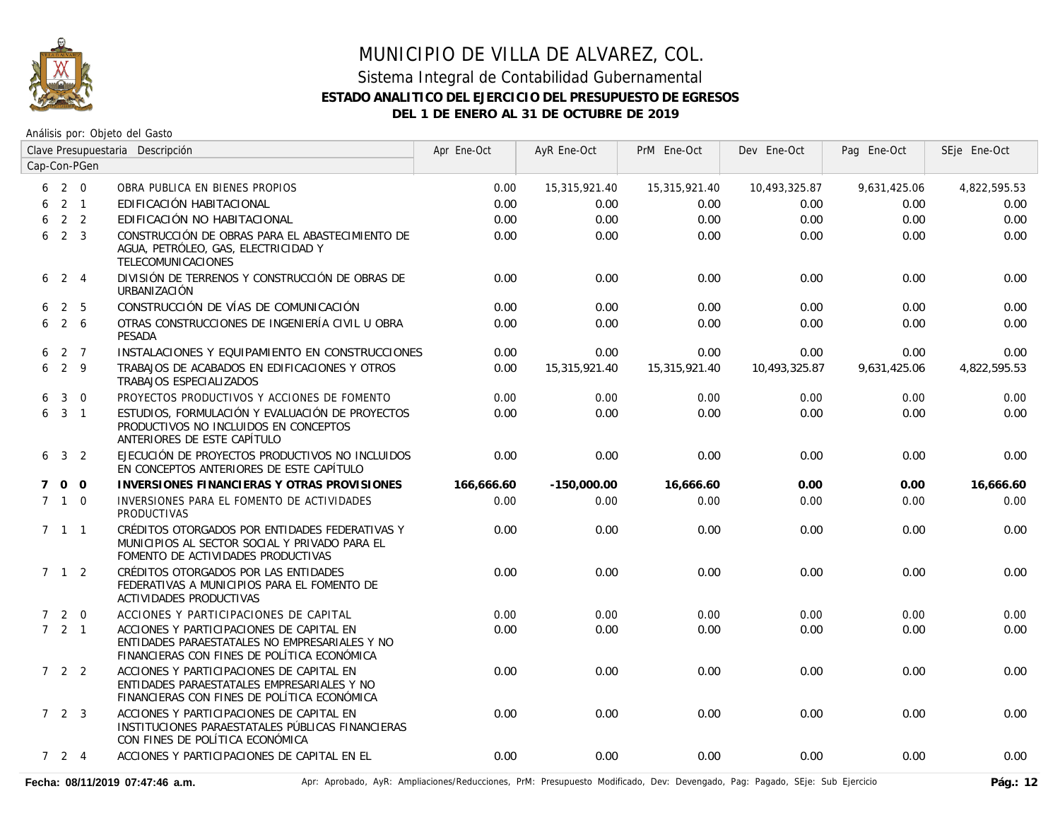

### Sistema Integral de Contabilidad Gubernamental **ESTADO ANALITICO DEL EJERCICIO DEL PRESUPUESTO DE EGRESOS DEL 1 DE ENERO AL 31 DE OCTUBRE DE 2019**

|             |                     |                | Clave Presupuestaria Descripción                                                                                                         | Apr Ene-Oct | AyR Ene-Oct   | PrM Ene-Oct   | Dev Ene-Oct   | Pag Ene-Oct  | SEje Ene-Oct |
|-------------|---------------------|----------------|------------------------------------------------------------------------------------------------------------------------------------------|-------------|---------------|---------------|---------------|--------------|--------------|
|             |                     | Cap-Con-PGen   |                                                                                                                                          |             |               |               |               |              |              |
| 6           | 2 0                 |                | OBRA PUBLICA EN BIENES PROPIOS                                                                                                           | 0.00        | 15,315,921.40 | 15,315,921.40 | 10,493,325.87 | 9,631,425.06 | 4,822,595.53 |
| 6           | $2 \quad 1$         |                | EDIFICACIÓN HABITACIONAL                                                                                                                 | 0.00        | 0.00          | 0.00          | 0.00          | 0.00         | 0.00         |
| 6           |                     | 2 <sub>2</sub> | EDIFICACIÓN NO HABITACIONAL                                                                                                              | 0.00        | 0.00          | 0.00          | 0.00          | 0.00         | 0.00         |
| 6           | 2 <sup>3</sup>      |                | CONSTRUCCIÓN DE OBRAS PARA EL ABASTECIMIENTO DE<br>AGUA, PETRÓLEO, GAS, ELECTRICIDAD Y<br><b>TELECOMUNICACIONES</b>                      | 0.00        | 0.00          | 0.00          | 0.00          | 0.00         | 0.00         |
| 6           | $2 \quad 4$         |                | DIVISIÓN DE TERRENOS Y CONSTRUCCIÓN DE OBRAS DE<br>URBANIZACIÓN                                                                          | 0.00        | 0.00          | 0.00          | 0.00          | 0.00         | 0.00         |
| 6.          |                     | 2 <sub>5</sub> | CONSTRUCCIÓN DE VÍAS DE COMUNICACIÓN                                                                                                     | 0.00        | 0.00          | 0.00          | 0.00          | 0.00         | 0.00         |
| 6           |                     | $2\quad 6$     | OTRAS CONSTRUCCIONES DE INGENIERÍA CIVIL U OBRA<br><b>PESADA</b>                                                                         | 0.00        | 0.00          | 0.00          | 0.00          | 0.00         | 0.00         |
| 6           |                     | 2 7            | INSTALACIONES Y EQUIPAMIENTO EN CONSTRUCCIONES                                                                                           | 0.00        | 0.00          | 0.00          | 0.00          | 0.00         | 0.00         |
| 6           | 2 9                 |                | TRABAJOS DE ACABADOS EN EDIFICACIONES Y OTROS<br>TRABAJOS ESPECIALIZADOS                                                                 | 0.00        | 15,315,921.40 | 15,315,921.40 | 10,493,325.87 | 9,631,425.06 | 4,822,595.53 |
| 6           | 3                   | $\overline{0}$ | PROYECTOS PRODUCTIVOS Y ACCIONES DE FOMENTO                                                                                              | 0.00        | 0.00          | 0.00          | 0.00          | 0.00         | 0.00         |
|             | $6\quad 3\quad 1$   |                | ESTUDIOS, FORMULACIÓN Y EVALUACIÓN DE PROYECTOS<br>PRODUCTIVOS NO INCLUIDOS EN CONCEPTOS<br>ANTERIORES DE ESTE CAPÍTULO                  | 0.00        | 0.00          | 0.00          | 0.00          | 0.00         | 0.00         |
|             | $6 \t3 \t2$         |                | EJECUCIÓN DE PROYECTOS PRODUCTIVOS NO INCLUIDOS<br>EN CONCEPTOS ANTERIORES DE ESTE CAPÍTULO                                              | 0.00        | 0.00          | 0.00          | 0.00          | 0.00         | 0.00         |
| $7^{\circ}$ | $0\quad 0$          |                | INVERSIONES FINANCIERAS Y OTRAS PROVISIONES                                                                                              | 166,666.60  | $-150,000.00$ | 16,666.60     | 0.00          | 0.00         | 16,666.60    |
|             | $7\quad1\quad0$     |                | INVERSIONES PARA EL FOMENTO DE ACTIVIDADES<br><b>PRODUCTIVAS</b>                                                                         | 0.00        | 0.00          | 0.00          | 0.00          | 0.00         | 0.00         |
|             | $7 \quad 1 \quad 1$ |                | CRÉDITOS OTORGADOS POR ENTIDADES FEDERATIVAS Y<br>MUNICIPIOS AL SECTOR SOCIAL Y PRIVADO PARA EL<br>FOMENTO DE ACTIVIDADES PRODUCTIVAS    | 0.00        | 0.00          | 0.00          | 0.00          | 0.00         | 0.00         |
|             | $7 \quad 1 \quad 2$ |                | CRÉDITOS OTORGADOS POR LAS ENTIDADES<br>FEDERATIVAS A MUNICIPIOS PARA EL FOMENTO DE<br><b>ACTIVIDADES PRODUCTIVAS</b>                    | 0.00        | 0.00          | 0.00          | 0.00          | 0.00         | 0.00         |
|             | 720                 |                | ACCIONES Y PARTICIPACIONES DE CAPITAL                                                                                                    | 0.00        | 0.00          | 0.00          | 0.00          | 0.00         | 0.00         |
|             | 721                 |                | ACCIONES Y PARTICIPACIONES DE CAPITAL EN<br>ENTIDADES PARAESTATALES NO EMPRESARIALES Y NO<br>FINANCIERAS CON FINES DE POLÍTICA ECONÓMICA | 0.00        | 0.00          | 0.00          | 0.00          | 0.00         | 0.00         |
|             | $722$               |                | ACCIONES Y PARTICIPACIONES DE CAPITAL EN<br>ENTIDADES PARAESTATALES EMPRESARIALES Y NO<br>FINANCIERAS CON FINES DE POLÍTICA ECONÓMICA    | 0.00        | 0.00          | 0.00          | 0.00          | 0.00         | 0.00         |
|             | $7\quad2\quad3$     |                | ACCIONES Y PARTICIPACIONES DE CAPITAL EN<br>INSTITUCIONES PARAESTATALES PÚBLICAS FINANCIERAS<br>CON FINES DE POLÍTICA ECONÓMICA          | 0.00        | 0.00          | 0.00          | 0.00          | 0.00         | 0.00         |
|             | $724$               |                | ACCIONES Y PARTICIPACIONES DE CAPITAL EN EL                                                                                              | 0.00        | 0.00          | 0.00          | 0.00          | 0.00         | 0.00         |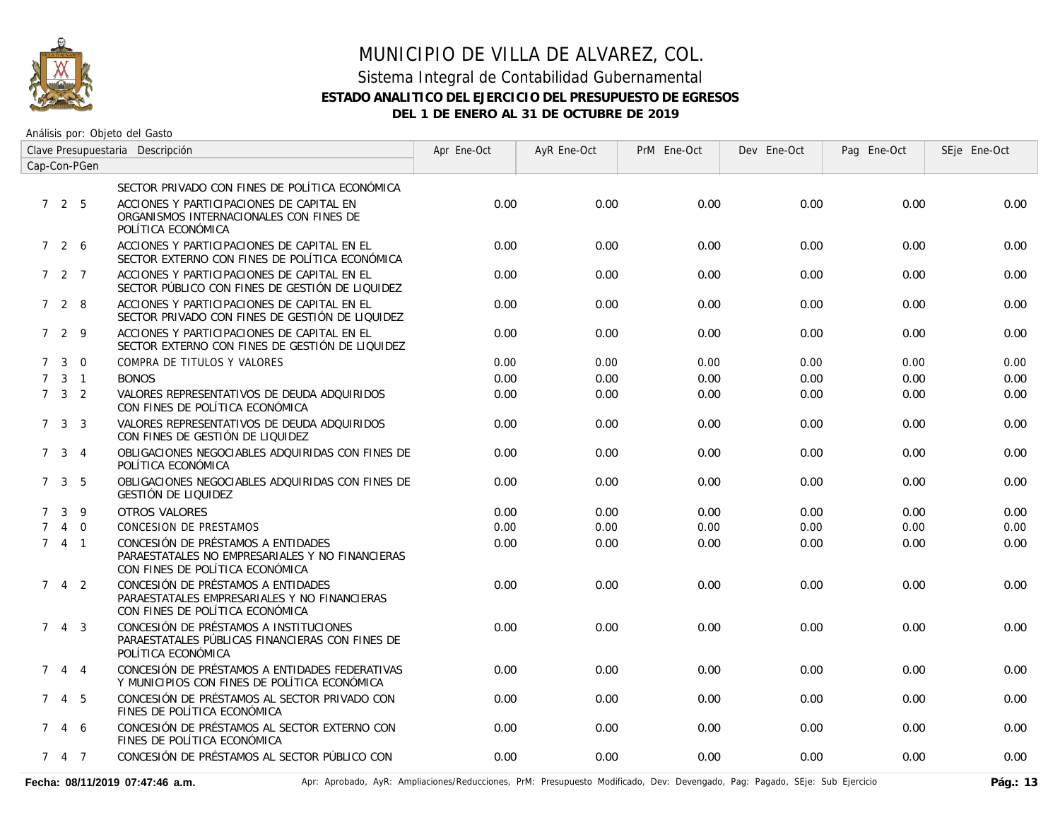

### Sistema Integral de Contabilidad Gubernamental **ESTADO ANALITICO DEL EJERCICIO DEL PRESUPUESTO DE EGRESOS DEL 1 DE ENERO AL 31 DE OCTUBRE DE 2019**

| Clave Presupuestaria Descripción |                     |             |                                                                                                                          | Apr Ene-Oct | AyR Ene-Oct | PrM Ene-Oct | Dev Ene-Oct | Pag Ene-Oct | SEje Ene-Oct |
|----------------------------------|---------------------|-------------|--------------------------------------------------------------------------------------------------------------------------|-------------|-------------|-------------|-------------|-------------|--------------|
| Cap-Con-PGen                     |                     |             |                                                                                                                          |             |             |             |             |             |              |
|                                  |                     |             | SECTOR PRIVADO CON FINES DE POLÍTICA ECONÓMICA                                                                           |             |             |             |             |             |              |
|                                  | 725                 |             | ACCIONES Y PARTICIPACIONES DE CAPITAL EN<br>ORGANISMOS INTERNACIONALES CON FINES DE<br>POLÍTICA ECONÓMICA                | 0.00        | 0.00        | 0.00        | 0.00        | 0.00        | 0.00         |
|                                  | 7 2 6               |             | ACCIONES Y PARTICIPACIONES DE CAPITAL EN EL<br>SECTOR EXTERNO CON FINES DE POLÍTICA ECONÓMICA                            | 0.00        | 0.00        | 0.00        | 0.00        | 0.00        | 0.00         |
|                                  | 7 2 7               |             | ACCIONES Y PARTICIPACIONES DE CAPITAL EN EL<br>SECTOR PÚBLICO CON FINES DE GESTIÓN DE LIQUIDEZ                           | 0.00        | 0.00        | 0.00        | 0.00        | 0.00        | 0.00         |
|                                  | 7 2 8               |             | ACCIONES Y PARTICIPACIONES DE CAPITAL EN EL<br>SECTOR PRIVADO CON FINES DE GESTIÓN DE LIQUIDEZ                           | 0.00        | 0.00        | 0.00        | 0.00        | 0.00        | 0.00         |
|                                  | 7 2 9               |             | ACCIONES Y PARTICIPACIONES DE CAPITAL EN EL<br>SECTOR EXTERNO CON FINES DE GESTIÓN DE LIQUIDEZ                           | 0.00        | 0.00        | 0.00        | 0.00        | 0.00        | 0.00         |
| $7^{\circ}$                      | $\mathbf{3}$        | $\Omega$    | COMPRA DE TITULOS Y VALORES                                                                                              | 0.00        | 0.00        | 0.00        | 0.00        | 0.00        | 0.00         |
| $7^{\circ}$                      |                     | $3-1$       | <b>BONOS</b>                                                                                                             | 0.00        | 0.00        | 0.00        | 0.00        | 0.00        | 0.00         |
|                                  | $7 \quad 3 \quad 2$ |             | VALORES REPRESENTATIVOS DE DEUDA ADQUIRIDOS<br>CON FINES DE POLÍTICA ECONÓMICA                                           | 0.00        | 0.00        | 0.00        | 0.00        | 0.00        | 0.00         |
|                                  | $7 \quad 3 \quad 3$ |             | VALORES REPRESENTATIVOS DE DEUDA ADQUIRIDOS<br>CON FINES DE GESTIÓN DE LIQUIDEZ                                          | 0.00        | 0.00        | 0.00        | 0.00        | 0.00        | 0.00         |
|                                  | $7 \t3 \t4$         |             | OBLIGACIONES NEGOCIABLES ADQUIRIDAS CON FINES DE<br>POLÍTICA ECONÓMICA                                                   | 0.00        | 0.00        | 0.00        | 0.00        | 0.00        | 0.00         |
|                                  | $7 \quad 3 \quad 5$ |             | OBLIGACIONES NEGOCIABLES ADOUIRIDAS CON FINES DE<br>GESTIÓN DE LIQUIDEZ                                                  | 0.00        | 0.00        | 0.00        | 0.00        | 0.00        | 0.00         |
| $\overline{7}$                   | $\mathbf{3}$        | 9           | OTROS VALORES                                                                                                            | 0.00        | 0.00        | 0.00        | 0.00        | 0.00        | 0.00         |
| $7^{\circ}$                      |                     | 4 0         | <b>CONCESION DE PRESTAMOS</b>                                                                                            | 0.00        | 0.00        | 0.00        | 0.00        | 0.00        | 0.00         |
|                                  | 741                 |             | CONCESIÓN DE PRÉSTAMOS A ENTIDADES<br>PARAESTATALES NO EMPRESARIALES Y NO FINANCIERAS<br>CON FINES DE POLÍTICA ECONÓMICA | 0.00        | 0.00        | 0.00        | 0.00        | 0.00        | 0.00         |
| $7^{\circ}$                      |                     | $4\quad 2$  | CONCESIÓN DE PRÉSTAMOS A ENTIDADES<br>PARAESTATALES EMPRESARIALES Y NO FINANCIERAS<br>CON FINES DE POLÍTICA ECONÓMICA    | 0.00        | 0.00        | 0.00        | 0.00        | 0.00        | 0.00         |
|                                  | $7 \t4 \t3$         |             | CONCESIÓN DE PRÉSTAMOS A INSTITUCIONES<br>PARAESTATALES PÚBLICAS FINANCIERAS CON FINES DE<br>POLÍTICA ECONÓMICA          | 0.00        | 0.00        | 0.00        | 0.00        | 0.00        | 0.00         |
| $7^{\circ}$                      |                     | $4 \quad 4$ | CONCESIÓN DE PRÉSTAMOS A ENTIDADES FEDERATIVAS<br>Y MUNICIPIOS CON FINES DE POLÍTICA ECONÓMICA                           | 0.00        | 0.00        | 0.00        | 0.00        | 0.00        | 0.00         |
| $7^{\circ}$                      |                     | 4 5         | CONCESIÓN DE PRÉSTAMOS AL SECTOR PRIVADO CON<br>FINES DE POLÍTICA ECONÓMICA                                              | 0.00        | 0.00        | 0.00        | 0.00        | 0.00        | 0.00         |
|                                  | 7 4 6               |             | CONCESIÓN DE PRÉSTAMOS AL SECTOR EXTERNO CON<br>FINES DE POLÍTICA ECONÓMICA                                              | 0.00        | 0.00        | 0.00        | 0.00        | 0.00        | 0.00         |
|                                  | 7 4 7               |             | CONCESIÓN DE PRÉSTAMOS AL SECTOR PÚBLICO CON                                                                             | 0.00        | 0.00        | 0.00        | 0.00        | 0.00        | 0.00         |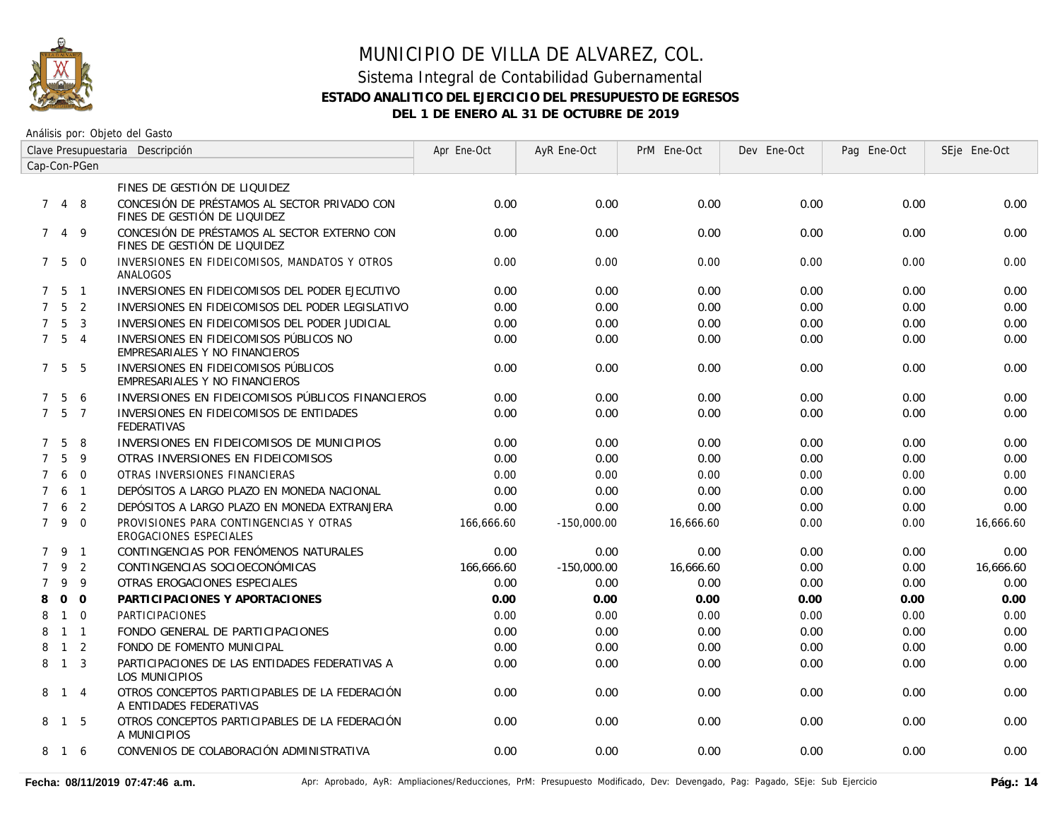

### Sistema Integral de Contabilidad Gubernamental **ESTADO ANALITICO DEL EJERCICIO DEL PRESUPUESTO DE EGRESOS DEL 1 DE ENERO AL 31 DE OCTUBRE DE 2019**

| Clave Presupuestaria Descripción |                   |                |                                                                              | Apr Ene-Oct | AyR Ene-Oct   | PrM Ene-Oct | Dev Ene-Oct | Pag Ene-Oct | SEje Ene-Oct |
|----------------------------------|-------------------|----------------|------------------------------------------------------------------------------|-------------|---------------|-------------|-------------|-------------|--------------|
|                                  | Cap-Con-PGen      |                |                                                                              |             |               |             |             |             |              |
|                                  |                   |                | FINES DE GESTIÓN DE LIQUIDEZ                                                 |             |               |             |             |             |              |
|                                  | 7 4 8             |                | CONCESIÓN DE PRÉSTAMOS AL SECTOR PRIVADO CON<br>FINES DE GESTIÓN DE LIQUIDEZ | 0.00        | 0.00          | 0.00        | 0.00        | 0.00        | 0.00         |
| $7^{\circ}$                      |                   | 49             | CONCESIÓN DE PRÉSTAMOS AL SECTOR EXTERNO CON<br>FINES DE GESTIÓN DE LIQUIDEZ | 0.00        | 0.00          | 0.00        | 0.00        | 0.00        | 0.00         |
|                                  | $7\quad 5\quad 0$ |                | INVERSIONES EN FIDEICOMISOS, MANDATOS Y OTROS<br>ANALOGOS                    | 0.00        | 0.00          | 0.00        | 0.00        | 0.00        | 0.00         |
|                                  | $7\;\;5\;\;1$     |                | INVERSIONES EN FIDEICOMISOS DEL PODER EJECUTIVO                              | 0.00        | 0.00          | 0.00        | 0.00        | 0.00        | 0.00         |
| $7^{\circ}$                      | 5                 | 2              | INVERSIONES EN FIDEICOMISOS DEL PODER LEGISLATIVO                            | 0.00        | 0.00          | 0.00        | 0.00        | 0.00        | 0.00         |
| $\overline{7}$                   | 5                 | 3              | INVERSIONES EN FIDEICOMISOS DEL PODER JUDICIAL                               | 0.00        | 0.00          | 0.00        | 0.00        | 0.00        | 0.00         |
|                                  | $7\quad 5\quad 4$ |                | INVERSIONES EN FIDEICOMISOS PÚBLICOS NO<br>EMPRESARIALES Y NO FINANCIEROS    | 0.00        | 0.00          | 0.00        | 0.00        | 0.00        | 0.00         |
|                                  | 7 5               | - 5            | INVERSIONES EN FIDEICOMISOS PÚBLICOS<br>EMPRESARIALES Y NO FINANCIEROS       | 0.00        | 0.00          | 0.00        | 0.00        | 0.00        | 0.00         |
| $7^{\circ}$                      | -5                | 6              | INVERSIONES EN FIDEICOMISOS PÚBLICOS FINANCIEROS                             | 0.00        | 0.00          | 0.00        | 0.00        | 0.00        | 0.00         |
| $7^{\circ}$                      | 5                 | $\overline{7}$ | INVERSIONES EN FIDEICOMISOS DE ENTIDADES<br><b>FEDERATIVAS</b>               | 0.00        | 0.00          | 0.00        | 0.00        | 0.00        | 0.00         |
| $\mathcal{I}$                    | 5                 | 8              | INVERSIONES EN FIDEICOMISOS DE MUNICIPIOS                                    | 0.00        | 0.00          | 0.00        | 0.00        | 0.00        | 0.00         |
| $\overline{7}$                   | 5                 | 9              | OTRAS INVERSIONES EN FIDEICOMISOS                                            | 0.00        | 0.00          | 0.00        | 0.00        | 0.00        | 0.00         |
| $\overline{7}$                   | 6                 | $\Omega$       | OTRAS INVERSIONES FINANCIERAS                                                | 0.00        | 0.00          | 0.00        | 0.00        | 0.00        | 0.00         |
| $\overline{7}$                   | 6                 | $\overline{1}$ | DEPÓSITOS A LARGO PLAZO EN MONEDA NACIONAL                                   | 0.00        | 0.00          | 0.00        | 0.00        | 0.00        | 0.00         |
| $\overline{7}$                   | 6                 | 2              | DEPÓSITOS A LARGO PLAZO EN MONEDA EXTRANJERA                                 | 0.00        | 0.00          | 0.00        | 0.00        | 0.00        | 0.00         |
| $7^{\circ}$                      | 9                 | $\Omega$       | PROVISIONES PARA CONTINGENCIAS Y OTRAS<br>EROGACIONES ESPECIALES             | 166,666.60  | $-150,000.00$ | 16,666.60   | 0.00        | 0.00        | 16,666.60    |
| $7^{\circ}$                      | - 9               | $\overline{1}$ | CONTINGENCIAS POR FENÓMENOS NATURALES                                        | 0.00        | 0.00          | 0.00        | 0.00        | 0.00        | 0.00         |
| $\overline{7}$                   | 9                 | 2              | CONTINGENCIAS SOCIOECONÓMICAS                                                | 166,666.60  | $-150,000.00$ | 16,666.60   | 0.00        | 0.00        | 16,666.60    |
| $\overline{7}$                   | 9                 | 9              | OTRAS EROGACIONES ESPECIALES                                                 | 0.00        | 0.00          | 0.00        | 0.00        | 0.00        | 0.00         |
| 8                                | $\Omega$          | $\Omega$       | PARTICIPACIONES Y APORTACIONES                                               | 0.00        | 0.00          | 0.00        | 0.00        | 0.00        | 0.00         |
| 8                                | $\mathbf{1}$      | $\Omega$       | <b>PARTICIPACIONES</b>                                                       | 0.00        | 0.00          | 0.00        | 0.00        | 0.00        | 0.00         |
| 8                                | $1 \quad 1$       |                | FONDO GENERAL DE PARTICIPACIONES                                             | 0.00        | 0.00          | 0.00        | 0.00        | 0.00        | 0.00         |
| 8                                | $\overline{1}$    | $\overline{2}$ | FONDO DE FOMENTO MUNICIPAL                                                   | 0.00        | 0.00          | 0.00        | 0.00        | 0.00        | 0.00         |
| 8                                | $1 \quad 3$       |                | PARTICIPACIONES DE LAS ENTIDADES FEDERATIVAS A<br>LOS MUNICIPIOS             | 0.00        | 0.00          | 0.00        | 0.00        | 0.00        | 0.00         |
|                                  | 8 1 4             |                | OTROS CONCEPTOS PARTICIPABLES DE LA FEDERACIÓN<br>A ENTIDADES FEDERATIVAS    | 0.00        | 0.00          | 0.00        | 0.00        | 0.00        | 0.00         |
|                                  | 8 1               | - 5            | OTROS CONCEPTOS PARTICIPABLES DE LA FEDERACIÓN<br>A MUNICIPIOS               | 0.00        | 0.00          | 0.00        | 0.00        | 0.00        | 0.00         |
|                                  | 8 1 6             |                | CONVENIOS DE COLABORACIÓN ADMINISTRATIVA                                     | 0.00        | 0.00          | 0.00        | 0.00        | 0.00        | 0.00         |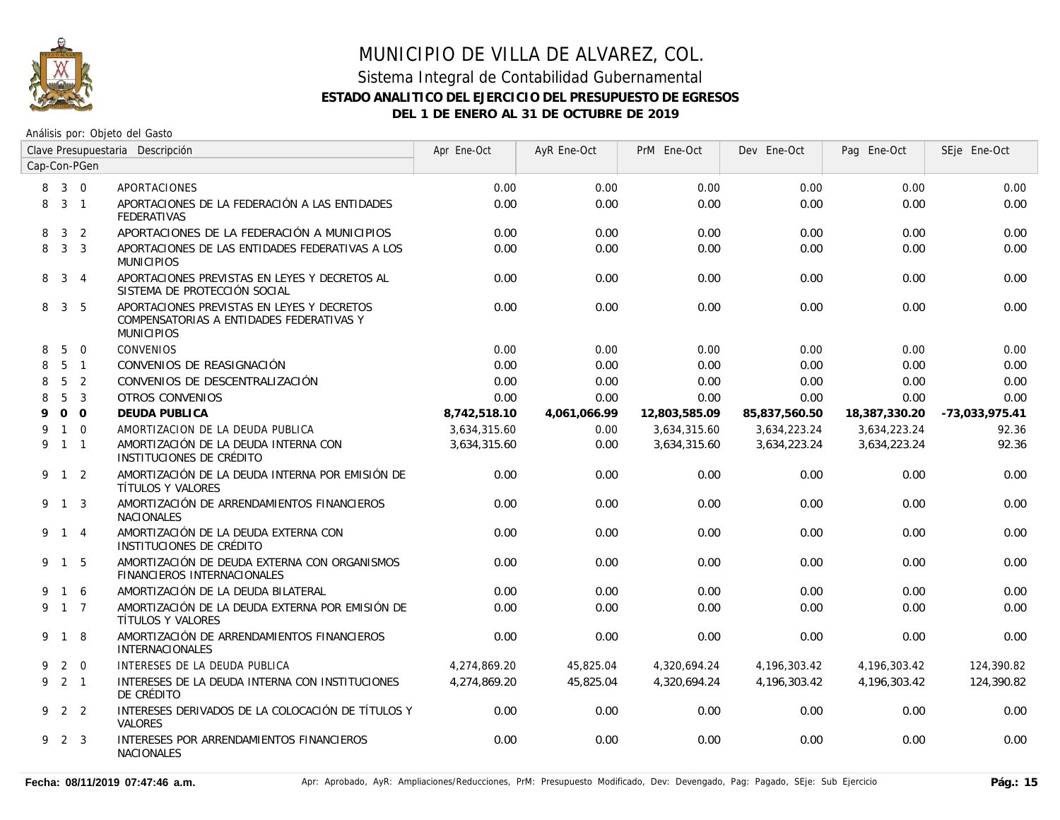

### Sistema Integral de Contabilidad Gubernamental **ESTADO ANALITICO DEL EJERCICIO DEL PRESUPUESTO DE EGRESOS DEL 1 DE ENERO AL 31 DE OCTUBRE DE 2019**

| Clave Presupuestaria Descripción |                     |                |                                                                                                             | Apr Ene-Oct  | AyR Ene-Oct  | PrM Ene-Oct   | Dev Ene-Oct   | Pag Ene-Oct   | SEje Ene-Oct   |
|----------------------------------|---------------------|----------------|-------------------------------------------------------------------------------------------------------------|--------------|--------------|---------------|---------------|---------------|----------------|
| Cap-Con-PGen                     |                     |                |                                                                                                             |              |              |               |               |               |                |
|                                  | 8 3 0               |                | APORTACIONES                                                                                                | 0.00         | 0.00         | 0.00          | 0.00          | 0.00          | 0.00           |
|                                  | 8 3 1               |                | APORTACIONES DE LA FEDERACIÓN A LAS ENTIDADES<br><b>FEDERATIVAS</b>                                         | 0.00         | 0.00         | 0.00          | 0.00          | 0.00          | 0.00           |
| 8                                | $\mathbf{3}$        | 2              | APORTACIONES DE LA FEDERACIÓN A MUNICIPIOS                                                                  | 0.00         | 0.00         | 0.00          | 0.00          | 0.00          | 0.00           |
| 8                                | 3 <sup>3</sup>      |                | APORTACIONES DE LAS ENTIDADES FEDERATIVAS A LOS<br><b>MUNICIPIOS</b>                                        | 0.00         | 0.00         | 0.00          | 0.00          | 0.00          | 0.00           |
| 8                                | $3 \quad 4$         |                | APORTACIONES PREVISTAS EN LEYES Y DECRETOS AL<br>SISTEMA DE PROTECCIÓN SOCIAL                               | 0.00         | 0.00         | 0.00          | 0.00          | 0.00          | 0.00           |
| 8                                | 3 5                 |                | APORTACIONES PREVISTAS EN LEYES Y DECRETOS<br>COMPENSATORIAS A ENTIDADES FEDERATIVAS Y<br><b>MUNICIPIOS</b> | 0.00         | 0.00         | 0.00          | 0.00          | 0.00          | 0.00           |
| 8                                | -5                  | $\Omega$       | <b>CONVENIOS</b>                                                                                            | 0.00         | 0.00         | 0.00          | 0.00          | 0.00          | 0.00           |
| 8                                |                     | 5 <sub>1</sub> | CONVENIOS DE REASIGNACIÓN                                                                                   | 0.00         | 0.00         | 0.00          | 0.00          | 0.00          | 0.00           |
| 8                                | $5\overline{)}$     | 2              | CONVENIOS DE DESCENTRALIZACIÓN                                                                              | 0.00         | 0.00         | 0.00          | 0.00          | 0.00          | 0.00           |
| 8                                | 5                   | 3              | <b>OTROS CONVENIOS</b>                                                                                      | 0.00         | 0.00         | 0.00          | 0.00          | 0.00          | 0.00           |
| 9                                |                     | 0 <sub>0</sub> | <b>DEUDA PUBLICA</b>                                                                                        | 8,742,518.10 | 4,061,066.99 | 12,803,585.09 | 85,837,560.50 | 18,387,330.20 | -73,033,975.41 |
| 9                                |                     | $1\quad 0$     | AMORTIZACION DE LA DEUDA PUBLICA                                                                            | 3,634,315.60 | 0.00         | 3,634,315.60  | 3,634,223.24  | 3,634,223.24  | 92.36          |
| 9                                | $1 \quad 1$         |                | AMORTIZACIÓN DE LA DEUDA INTERNA CON<br>INSTITUCIONES DE CRÉDITO                                            | 3,634,315.60 | 0.00         | 3,634,315.60  | 3,634,223.24  | 3,634,223.24  | 92.36          |
|                                  | 9 1 2               |                | AMORTIZACIÓN DE LA DEUDA INTERNA POR EMISIÓN DE<br>TÍTULOS Y VALORES                                        | 0.00         | 0.00         | 0.00          | 0.00          | 0.00          | 0.00           |
|                                  | 9 1 3               |                | AMORTIZACIÓN DE ARRENDAMIENTOS FINANCIEROS<br><b>NACIONALES</b>                                             | 0.00         | 0.00         | 0.00          | 0.00          | 0.00          | 0.00           |
|                                  | 9 1 4               |                | AMORTIZACIÓN DE LA DEUDA EXTERNA CON<br>INSTITUCIONES DE CRÉDITO                                            | 0.00         | 0.00         | 0.00          | 0.00          | 0.00          | 0.00           |
|                                  | 9 1 5               |                | AMORTIZACIÓN DE DEUDA EXTERNA CON ORGANISMOS<br><b>FINANCIEROS INTERNACIONALES</b>                          | 0.00         | 0.00         | 0.00          | 0.00          | 0.00          | 0.00           |
|                                  | 1 6                 |                | AMORTIZACIÓN DE LA DEUDA BILATERAL                                                                          | 0.00         | 0.00         | 0.00          | 0.00          | 0.00          | 0.00           |
|                                  | 9 1 7               |                | AMORTIZACIÓN DE LA DEUDA EXTERNA POR EMISIÓN DE<br>TÍTULOS Y VALORES                                        | 0.00         | 0.00         | 0.00          | 0.00          | 0.00          | 0.00           |
|                                  | 9 1 8               |                | AMORTIZACIÓN DE ARRENDAMIENTOS FINANCIEROS<br><b>INTERNACIONALES</b>                                        | 0.00         | 0.00         | 0.00          | 0.00          | 0.00          | 0.00           |
| 9                                |                     | $2 \quad 0$    | INTERESES DE LA DEUDA PUBLICA                                                                               | 4,274,869.20 | 45,825.04    | 4,320,694.24  | 4,196,303.42  | 4,196,303.42  | 124,390.82     |
|                                  | $9 \quad 2 \quad 1$ |                | INTERESES DE LA DEUDA INTERNA CON INSTITUCIONES<br>DE CRÉDITO                                               | 4.274.869.20 | 45.825.04    | 4,320,694.24  | 4,196,303.42  | 4.196.303.42  | 124,390.82     |
|                                  | 9 2 2               |                | INTERESES DERIVADOS DE LA COLOCACIÓN DE TÍTULOS Y<br><b>VALORES</b>                                         | 0.00         | 0.00         | 0.00          | 0.00          | 0.00          | 0.00           |
|                                  | 9 2 3               |                | INTERESES POR ARRENDAMIENTOS FINANCIEROS<br><b>NACIONALES</b>                                               | 0.00         | 0.00         | 0.00          | 0.00          | 0.00          | 0.00           |